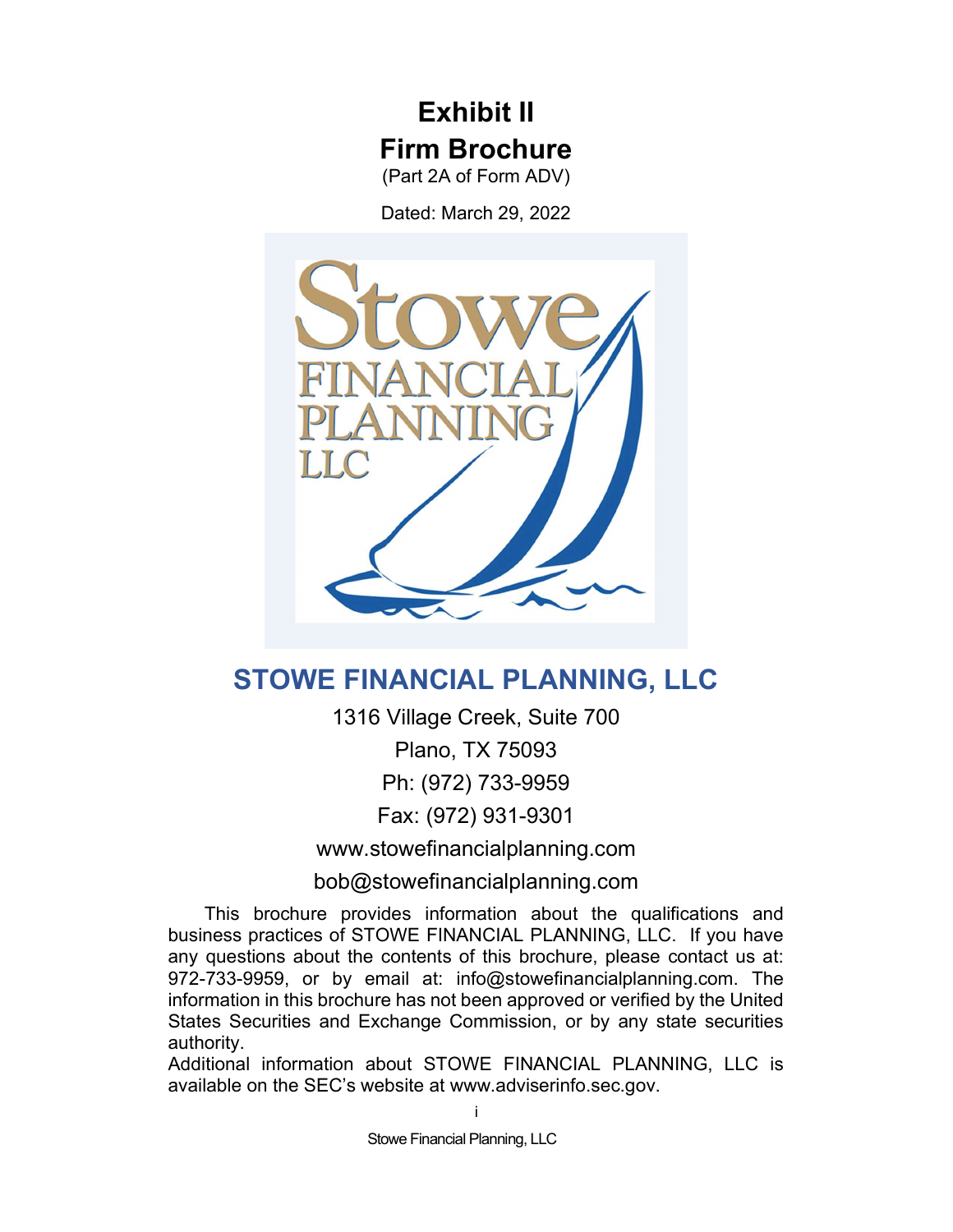# Exhibit II Firm Brochure

(Part 2A of Form ADV)

Dated: March 29, 2022



# STOWE FINANCIAL PLANNING, LLC

1316 Village Creek, Suite 700 Plano, TX 75093 Ph: (972) 733-9959 Fax: (972) 931-9301

www.stowefinancialplanning.com

bob@stowefinancialplanning.com

 This brochure provides information about the qualifications and business practices of STOWE FINANCIAL PLANNING, LLC. If you have any questions about the contents of this brochure, please contact us at: 972-733-9959, or by email at: info@stowefinancialplanning.com. The information in this brochure has not been approved or verified by the United States Securities and Exchange Commission, or by any state securities authority.

Additional information about STOWE FINANCIAL PLANNING, LLC is available on the SEC's website at www.adviserinfo.sec.gov.

Stowe Financial Planning, LLC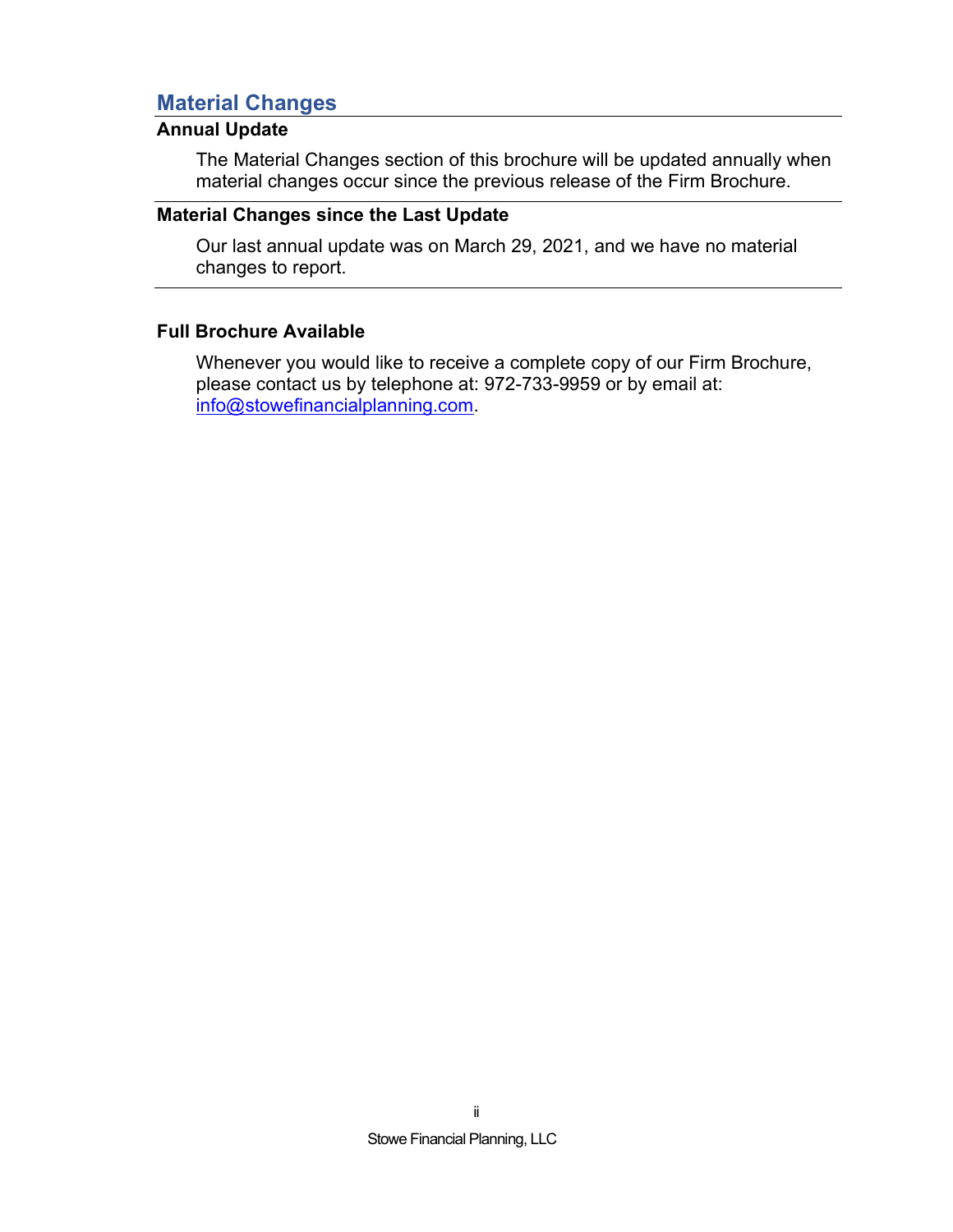# Material Changes

# Annual Update

The Material Changes section of this brochure will be updated annually when material changes occur since the previous release of the Firm Brochure.

## Material Changes since the Last Update

Our last annual update was on March 29, 2021, and we have no material changes to report.

# Full Brochure Available

Whenever you would like to receive a complete copy of our Firm Brochure, please contact us by telephone at: 972-733-9959 or by email at: info@stowefinancialplanning.com.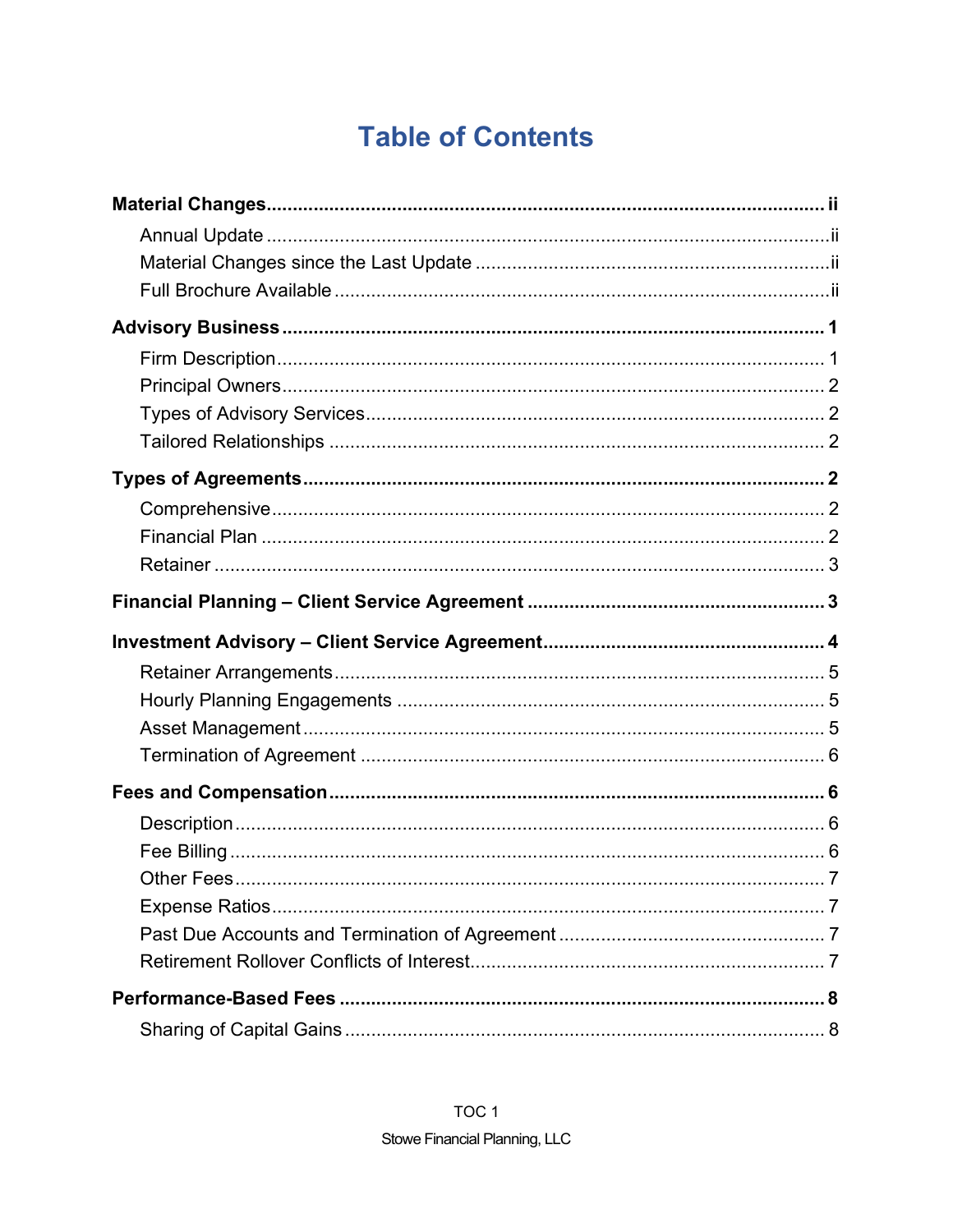# **Table of Contents**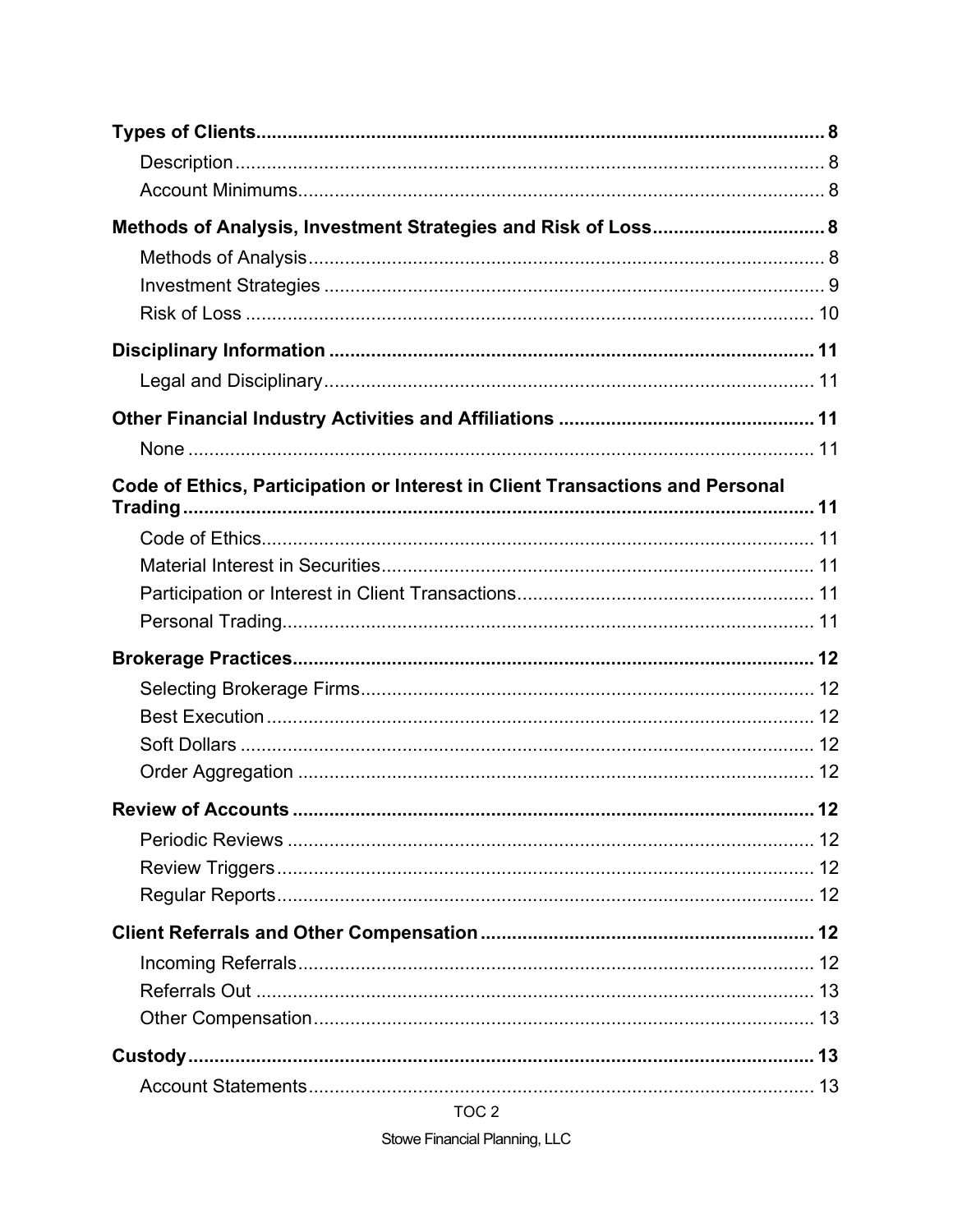| Methods of Analysis, Investment Strategies and Risk of Loss 8                 |    |
|-------------------------------------------------------------------------------|----|
|                                                                               |    |
|                                                                               |    |
|                                                                               |    |
|                                                                               |    |
|                                                                               |    |
|                                                                               |    |
|                                                                               |    |
| Code of Ethics, Participation or Interest in Client Transactions and Personal |    |
|                                                                               |    |
|                                                                               |    |
|                                                                               |    |
|                                                                               |    |
|                                                                               |    |
|                                                                               |    |
|                                                                               |    |
|                                                                               |    |
|                                                                               |    |
| <b>Review of Accounts.</b>                                                    | 12 |
|                                                                               |    |
|                                                                               |    |
|                                                                               |    |
|                                                                               |    |
|                                                                               |    |
|                                                                               |    |
|                                                                               |    |
|                                                                               |    |
|                                                                               |    |

TOC<sub>2</sub>

Stowe Financial Planning, LLC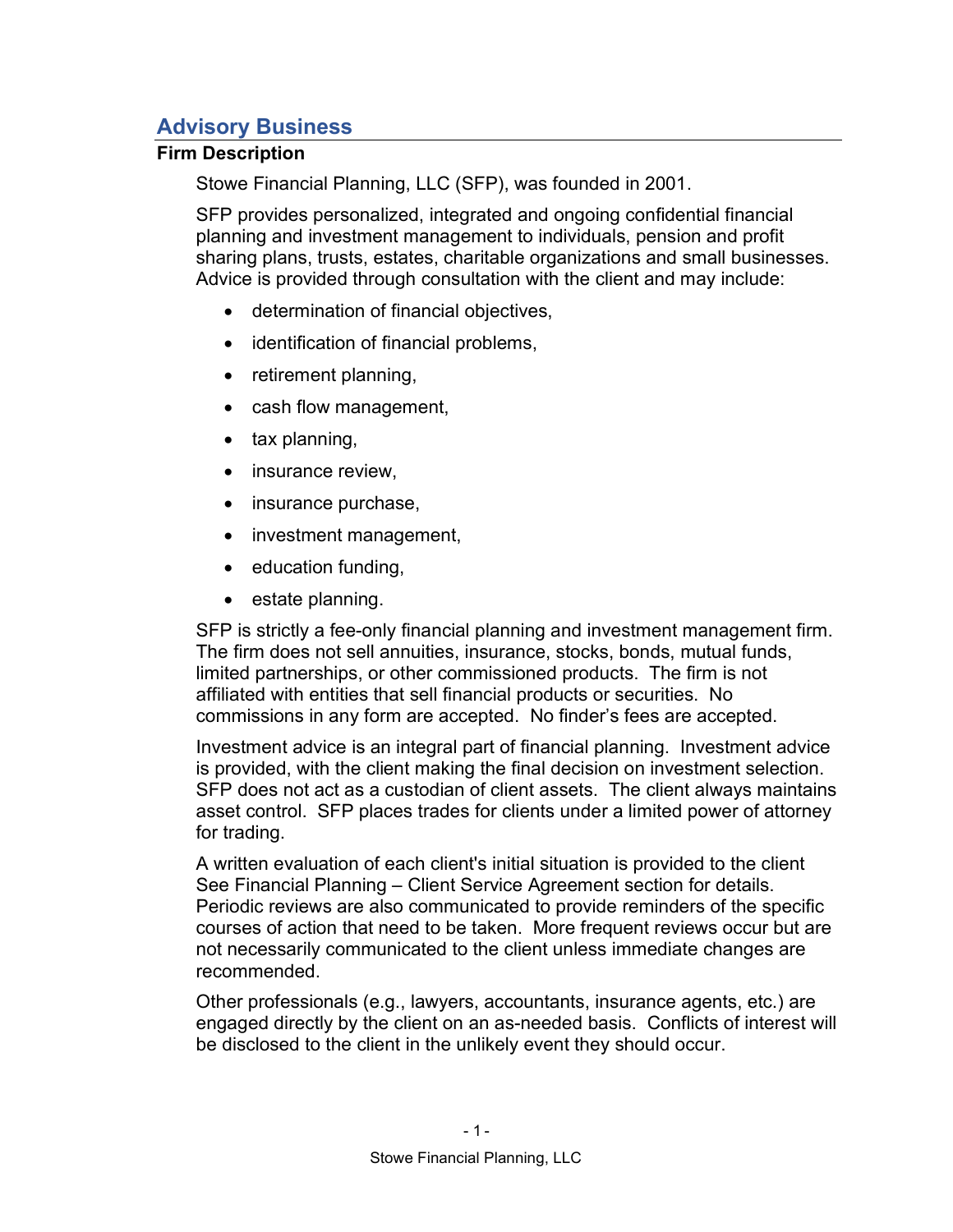# Advisory Business

# Firm Description

Stowe Financial Planning, LLC (SFP), was founded in 2001.

SFP provides personalized, integrated and ongoing confidential financial planning and investment management to individuals, pension and profit sharing plans, trusts, estates, charitable organizations and small businesses. Advice is provided through consultation with the client and may include:

- determination of financial objectives,
- identification of financial problems,
- retirement planning,
- cash flow management,
- $\bullet$  tax planning,
- insurance review,
- insurance purchase,
- investment management,
- education funding,
- estate planning.

SFP is strictly a fee-only financial planning and investment management firm. The firm does not sell annuities, insurance, stocks, bonds, mutual funds, limited partnerships, or other commissioned products. The firm is not affiliated with entities that sell financial products or securities. No commissions in any form are accepted. No finder's fees are accepted.

Investment advice is an integral part of financial planning. Investment advice is provided, with the client making the final decision on investment selection. SFP does not act as a custodian of client assets. The client always maintains asset control. SFP places trades for clients under a limited power of attorney for trading.

A written evaluation of each client's initial situation is provided to the client See Financial Planning – Client Service Agreement section for details. Periodic reviews are also communicated to provide reminders of the specific courses of action that need to be taken. More frequent reviews occur but are not necessarily communicated to the client unless immediate changes are recommended.

Other professionals (e.g., lawyers, accountants, insurance agents, etc.) are engaged directly by the client on an as-needed basis. Conflicts of interest will be disclosed to the client in the unlikely event they should occur.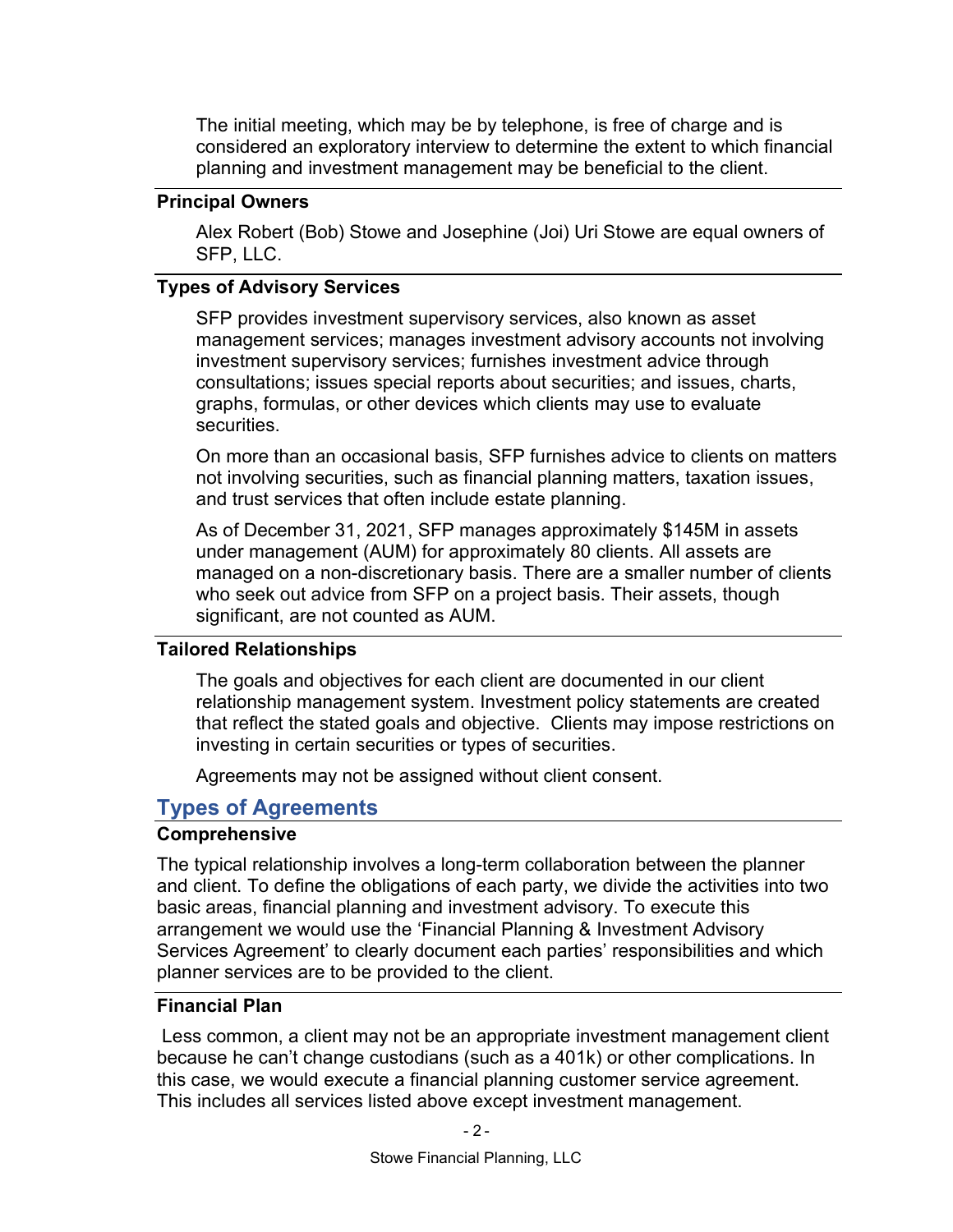The initial meeting, which may be by telephone, is free of charge and is considered an exploratory interview to determine the extent to which financial planning and investment management may be beneficial to the client.

## Principal Owners

Alex Robert (Bob) Stowe and Josephine (Joi) Uri Stowe are equal owners of SFP, LLC.

# Types of Advisory Services

SFP provides investment supervisory services, also known as asset management services; manages investment advisory accounts not involving investment supervisory services; furnishes investment advice through consultations; issues special reports about securities; and issues, charts, graphs, formulas, or other devices which clients may use to evaluate securities.

On more than an occasional basis, SFP furnishes advice to clients on matters not involving securities, such as financial planning matters, taxation issues, and trust services that often include estate planning.

As of December 31, 2021, SFP manages approximately \$145M in assets under management (AUM) for approximately 80 clients. All assets are managed on a non-discretionary basis. There are a smaller number of clients who seek out advice from SFP on a project basis. Their assets, though significant, are not counted as AUM.

# Tailored Relationships

The goals and objectives for each client are documented in our client relationship management system. Investment policy statements are created that reflect the stated goals and objective. Clients may impose restrictions on investing in certain securities or types of securities.

Agreements may not be assigned without client consent.

# Types of Agreements

 $-2$  -

# **Comprehensive**

The typical relationship involves a long-term collaboration between the planner and client. To define the obligations of each party, we divide the activities into two basic areas, financial planning and investment advisory. To execute this arrangement we would use the 'Financial Planning & Investment Advisory Services Agreement' to clearly document each parties' responsibilities and which planner services are to be provided to the client.

# Financial Plan

 Less common, a client may not be an appropriate investment management client because he can't change custodians (such as a 401k) or other complications. In this case, we would execute a financial planning customer service agreement. This includes all services listed above except investment management.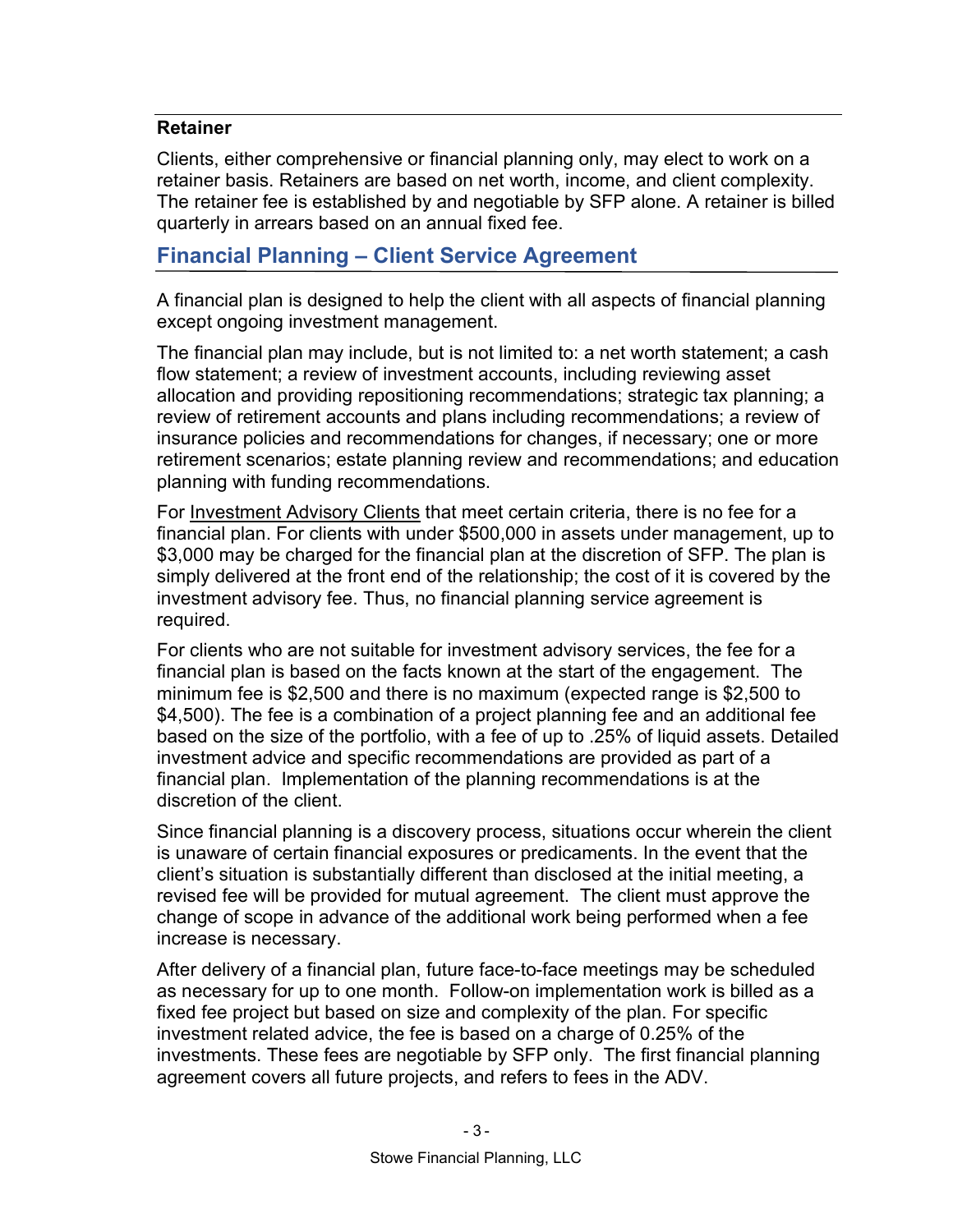# Retainer

Clients, either comprehensive or financial planning only, may elect to work on a retainer basis. Retainers are based on net worth, income, and client complexity. The retainer fee is established by and negotiable by SFP alone. A retainer is billed quarterly in arrears based on an annual fixed fee.

# Financial Planning – Client Service Agreement

A financial plan is designed to help the client with all aspects of financial planning except ongoing investment management.

The financial plan may include, but is not limited to: a net worth statement; a cash flow statement; a review of investment accounts, including reviewing asset allocation and providing repositioning recommendations; strategic tax planning; a review of retirement accounts and plans including recommendations; a review of insurance policies and recommendations for changes, if necessary; one or more retirement scenarios; estate planning review and recommendations; and education planning with funding recommendations.

For Investment Advisory Clients that meet certain criteria, there is no fee for a financial plan. For clients with under \$500,000 in assets under management, up to \$3,000 may be charged for the financial plan at the discretion of SFP. The plan is simply delivered at the front end of the relationship; the cost of it is covered by the investment advisory fee. Thus, no financial planning service agreement is required.

For clients who are not suitable for investment advisory services, the fee for a financial plan is based on the facts known at the start of the engagement. The minimum fee is \$2,500 and there is no maximum (expected range is \$2,500 to \$4,500). The fee is a combination of a project planning fee and an additional fee based on the size of the portfolio, with a fee of up to .25% of liquid assets. Detailed investment advice and specific recommendations are provided as part of a financial plan. Implementation of the planning recommendations is at the discretion of the client.

Since financial planning is a discovery process, situations occur wherein the client is unaware of certain financial exposures or predicaments. In the event that the client's situation is substantially different than disclosed at the initial meeting, a revised fee will be provided for mutual agreement. The client must approve the change of scope in advance of the additional work being performed when a fee increase is necessary.

After delivery of a financial plan, future face-to-face meetings may be scheduled as necessary for up to one month. Follow-on implementation work is billed as a fixed fee project but based on size and complexity of the plan. For specific investment related advice, the fee is based on a charge of 0.25% of the investments. These fees are negotiable by SFP only. The first financial planning agreement covers all future projects, and refers to fees in the ADV.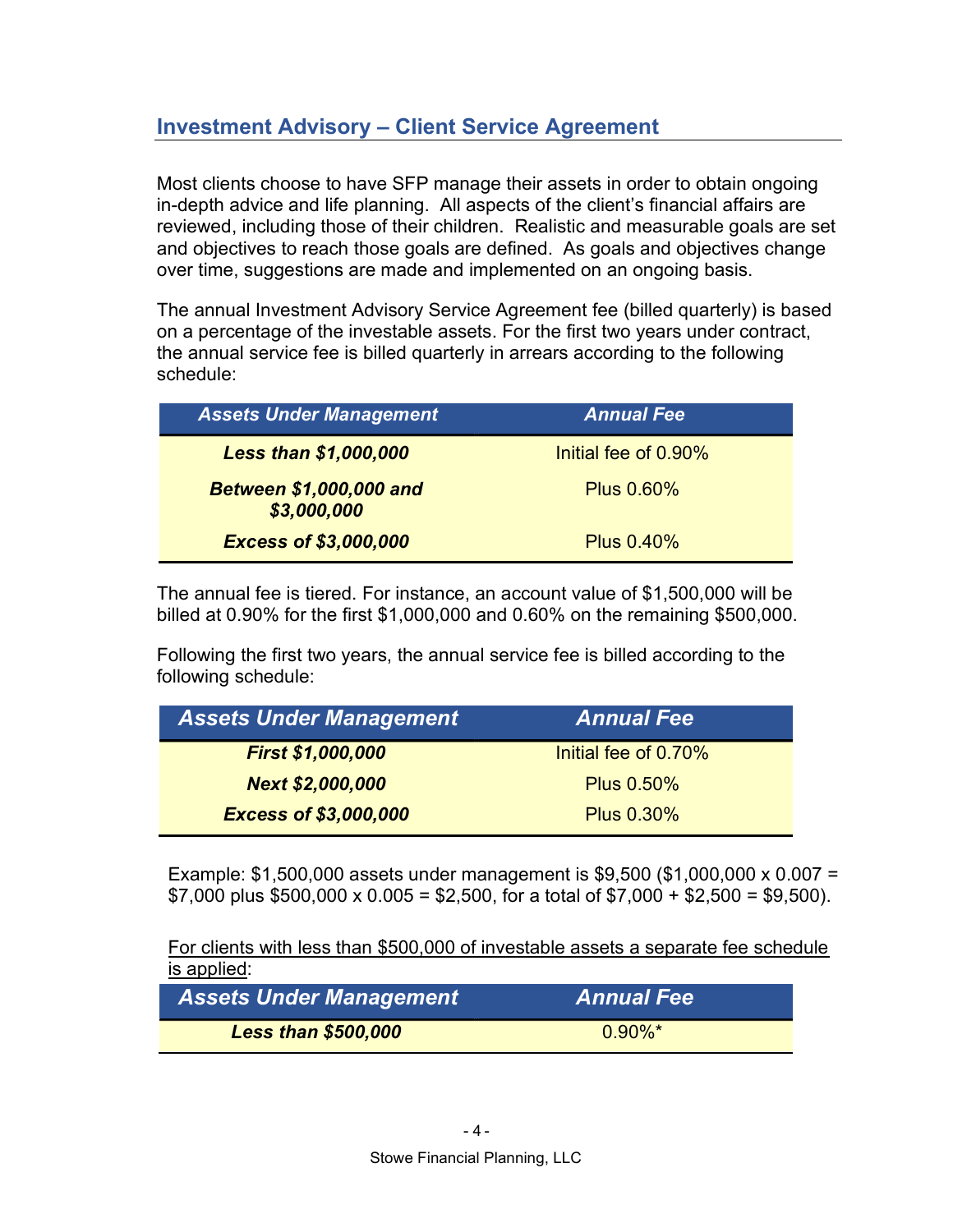# Investment Advisory – Client Service Agreement

Most clients choose to have SFP manage their assets in order to obtain ongoing in-depth advice and life planning. All aspects of the client's financial affairs are reviewed, including those of their children. Realistic and measurable goals are set and objectives to reach those goals are defined. As goals and objectives change over time, suggestions are made and implemented on an ongoing basis.

The annual Investment Advisory Service Agreement fee (billed quarterly) is based on a percentage of the investable assets. For the first two years under contract, the annual service fee is billed quarterly in arrears according to the following schedule:

| <b>Assets Under Management</b>                | <b>Annual Fee</b>    |
|-----------------------------------------------|----------------------|
| <b>Less than \$1,000,000</b>                  | Initial fee of 0.90% |
| <b>Between \$1,000,000 and</b><br>\$3,000,000 | <b>Plus 0.60%</b>    |
| <b>Excess of \$3,000,000</b>                  | <b>Plus 0.40%</b>    |

The annual fee is tiered. For instance, an account value of \$1,500,000 will be billed at 0.90% for the first \$1,000,000 and 0.60% on the remaining \$500,000.

Following the first two years, the annual service fee is billed according to the following schedule:

| <b>Assets Under Management</b> | <b>Annual Fee</b>    |
|--------------------------------|----------------------|
| First \$1,000,000              | Initial fee of 0.70% |
| <b>Next \$2,000,000</b>        | <b>Plus 0.50%</b>    |
| <b>Excess of \$3,000,000</b>   | <b>Plus 0.30%</b>    |

Example: \$1,500,000 assets under management is \$9,500 (\$1,000,000 x 0.007 =  $$7,000$  plus  $$500,000 \times 0.005 = $2,500$ , for a total of  $$7,000 + $2,500 = $9,500$ .

For clients with less than \$500,000 of investable assets a separate fee schedule is applied:

| <b>Assets Under Management</b> | <b>Annual Fee</b> |
|--------------------------------|-------------------|
| <b>Less than \$500,000</b>     | $0.90\%$ *        |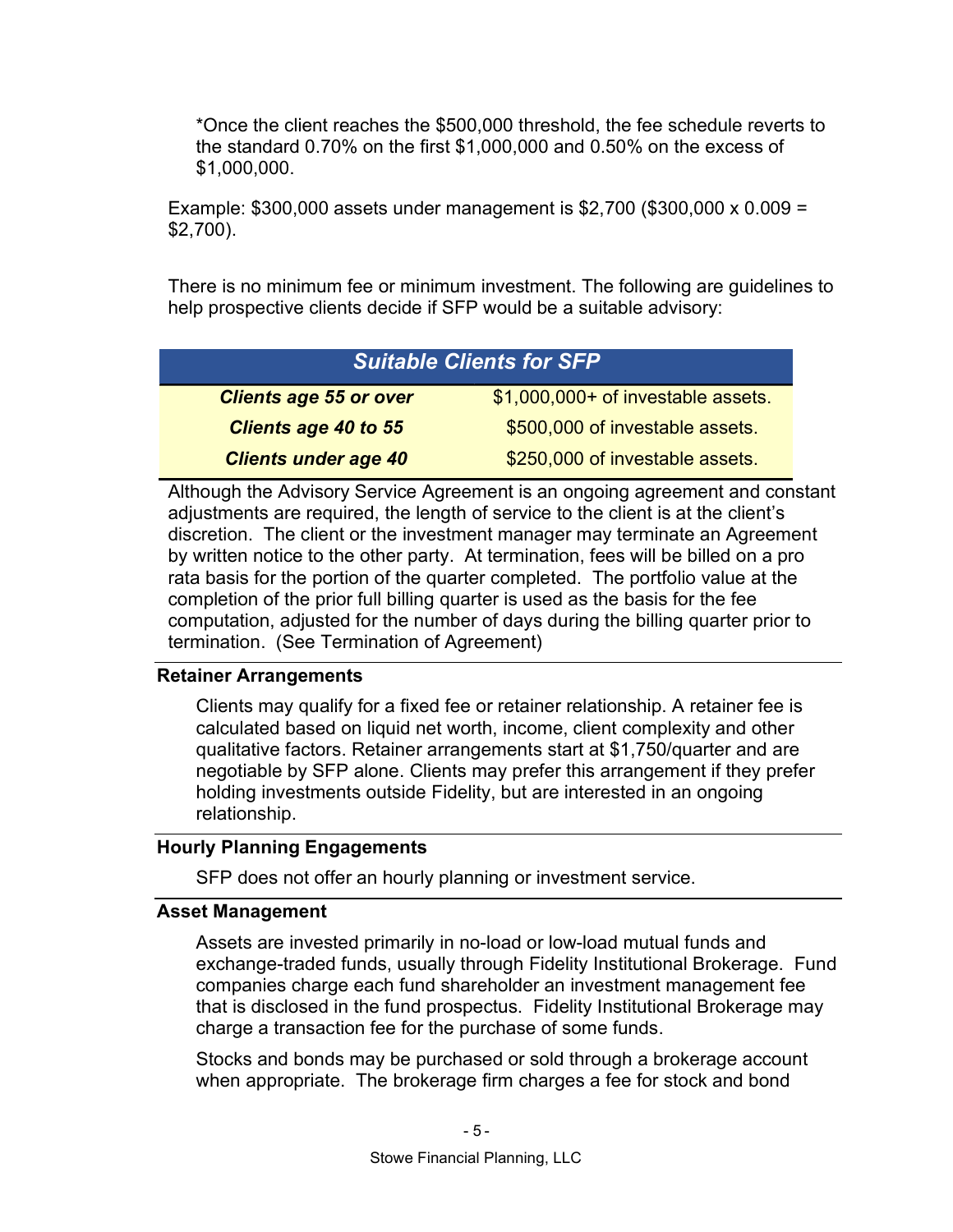\*Once the client reaches the \$500,000 threshold, the fee schedule reverts to the standard 0.70% on the first \$1,000,000 and 0.50% on the excess of \$1,000,000.

Example: \$300,000 assets under management is \$2,700 (\$300,000 x 0.009 = \$2,700).

There is no minimum fee or minimum investment. The following are guidelines to help prospective clients decide if SFP would be a suitable advisory:

| <b>Suitable Clients for SFP</b> |                                    |  |
|---------------------------------|------------------------------------|--|
| <b>Clients age 55 or over</b>   | \$1,000,000+ of investable assets. |  |
| <b>Clients age 40 to 55</b>     | \$500,000 of investable assets.    |  |
| <b>Clients under age 40</b>     | \$250,000 of investable assets.    |  |

Although the Advisory Service Agreement is an ongoing agreement and constant adjustments are required, the length of service to the client is at the client's discretion. The client or the investment manager may terminate an Agreement by written notice to the other party. At termination, fees will be billed on a pro rata basis for the portion of the quarter completed. The portfolio value at the completion of the prior full billing quarter is used as the basis for the fee computation, adjusted for the number of days during the billing quarter prior to termination. (See Termination of Agreement)

# Retainer Arrangements

Clients may qualify for a fixed fee or retainer relationship. A retainer fee is calculated based on liquid net worth, income, client complexity and other qualitative factors. Retainer arrangements start at \$1,750/quarter and are negotiable by SFP alone. Clients may prefer this arrangement if they prefer holding investments outside Fidelity, but are interested in an ongoing relationship.

# Hourly Planning Engagements

SFP does not offer an hourly planning or investment service.

# Asset Management

Assets are invested primarily in no-load or low-load mutual funds and exchange-traded funds, usually through Fidelity Institutional Brokerage. Fund companies charge each fund shareholder an investment management fee that is disclosed in the fund prospectus. Fidelity Institutional Brokerage may charge a transaction fee for the purchase of some funds.

Stocks and bonds may be purchased or sold through a brokerage account when appropriate. The brokerage firm charges a fee for stock and bond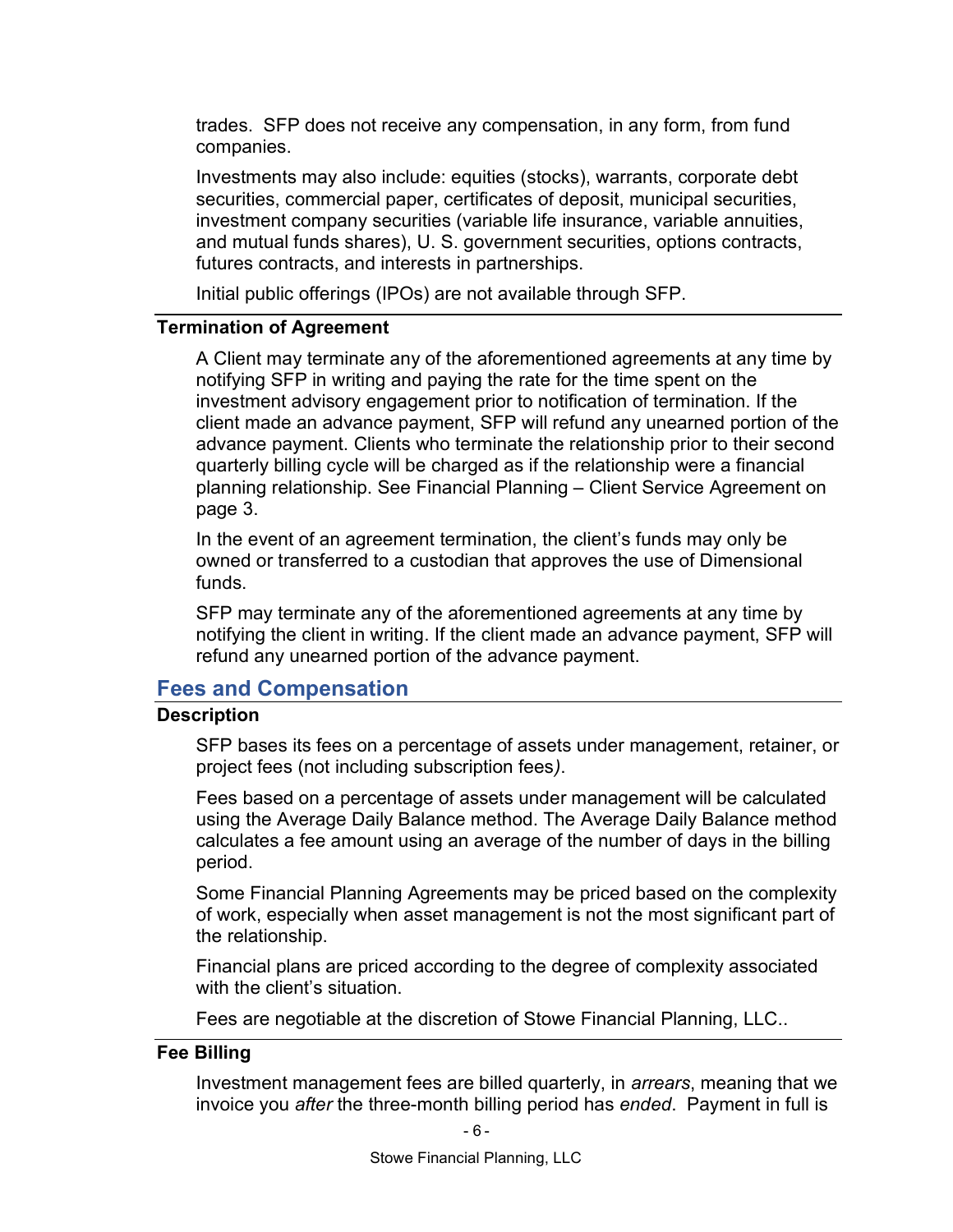trades. SFP does not receive any compensation, in any form, from fund companies.

Investments may also include: equities (stocks), warrants, corporate debt securities, commercial paper, certificates of deposit, municipal securities, investment company securities (variable life insurance, variable annuities, and mutual funds shares), U. S. government securities, options contracts, futures contracts, and interests in partnerships.

Initial public offerings (IPOs) are not available through SFP.

#### Termination of Agreement

A Client may terminate any of the aforementioned agreements at any time by notifying SFP in writing and paying the rate for the time spent on the investment advisory engagement prior to notification of termination. If the client made an advance payment, SFP will refund any unearned portion of the advance payment. Clients who terminate the relationship prior to their second quarterly billing cycle will be charged as if the relationship were a financial planning relationship. See Financial Planning – Client Service Agreement on page 3.

In the event of an agreement termination, the client's funds may only be owned or transferred to a custodian that approves the use of Dimensional funds.

SFP may terminate any of the aforementioned agreements at any time by notifying the client in writing. If the client made an advance payment, SFP will refund any unearned portion of the advance payment.

# Fees and Compensation

#### **Description**

SFP bases its fees on a percentage of assets under management, retainer, or project fees (not including subscription fees).

Fees based on a percentage of assets under management will be calculated using the Average Daily Balance method. The Average Daily Balance method calculates a fee amount using an average of the number of days in the billing period.

Some Financial Planning Agreements may be priced based on the complexity of work, especially when asset management is not the most significant part of the relationship.

Financial plans are priced according to the degree of complexity associated with the client's situation

Fees are negotiable at the discretion of Stowe Financial Planning, LLC..

#### Fee Billing

Investment management fees are billed quarterly, in arrears, meaning that we invoice you after the three-month billing period has ended. Payment in full is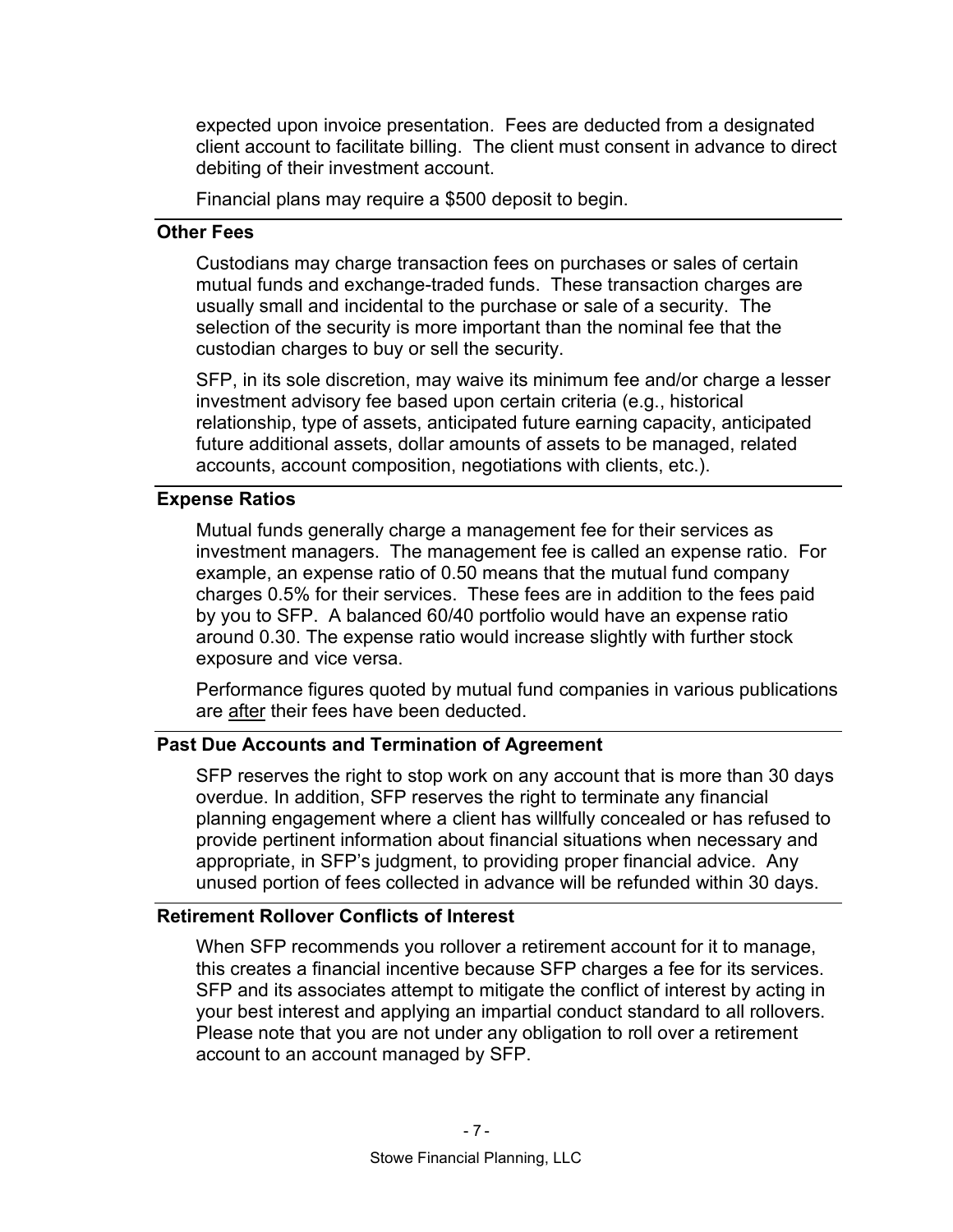expected upon invoice presentation. Fees are deducted from a designated client account to facilitate billing. The client must consent in advance to direct debiting of their investment account.

Financial plans may require a \$500 deposit to begin.

#### Other Fees

Custodians may charge transaction fees on purchases or sales of certain mutual funds and exchange-traded funds. These transaction charges are usually small and incidental to the purchase or sale of a security. The selection of the security is more important than the nominal fee that the custodian charges to buy or sell the security.

SFP, in its sole discretion, may waive its minimum fee and/or charge a lesser investment advisory fee based upon certain criteria (e.g., historical relationship, type of assets, anticipated future earning capacity, anticipated future additional assets, dollar amounts of assets to be managed, related accounts, account composition, negotiations with clients, etc.).

#### Expense Ratios

Mutual funds generally charge a management fee for their services as investment managers. The management fee is called an expense ratio. For example, an expense ratio of 0.50 means that the mutual fund company charges 0.5% for their services. These fees are in addition to the fees paid by you to SFP. A balanced 60/40 portfolio would have an expense ratio around 0.30. The expense ratio would increase slightly with further stock exposure and vice versa.

Performance figures quoted by mutual fund companies in various publications are after their fees have been deducted.

### Past Due Accounts and Termination of Agreement

SFP reserves the right to stop work on any account that is more than 30 days overdue. In addition, SFP reserves the right to terminate any financial planning engagement where a client has willfully concealed or has refused to provide pertinent information about financial situations when necessary and appropriate, in SFP's judgment, to providing proper financial advice. Any unused portion of fees collected in advance will be refunded within 30 days.

#### Retirement Rollover Conflicts of Interest

When SFP recommends you rollover a retirement account for it to manage, this creates a financial incentive because SFP charges a fee for its services. SFP and its associates attempt to mitigate the conflict of interest by acting in your best interest and applying an impartial conduct standard to all rollovers. Please note that you are not under any obligation to roll over a retirement account to an account managed by SFP.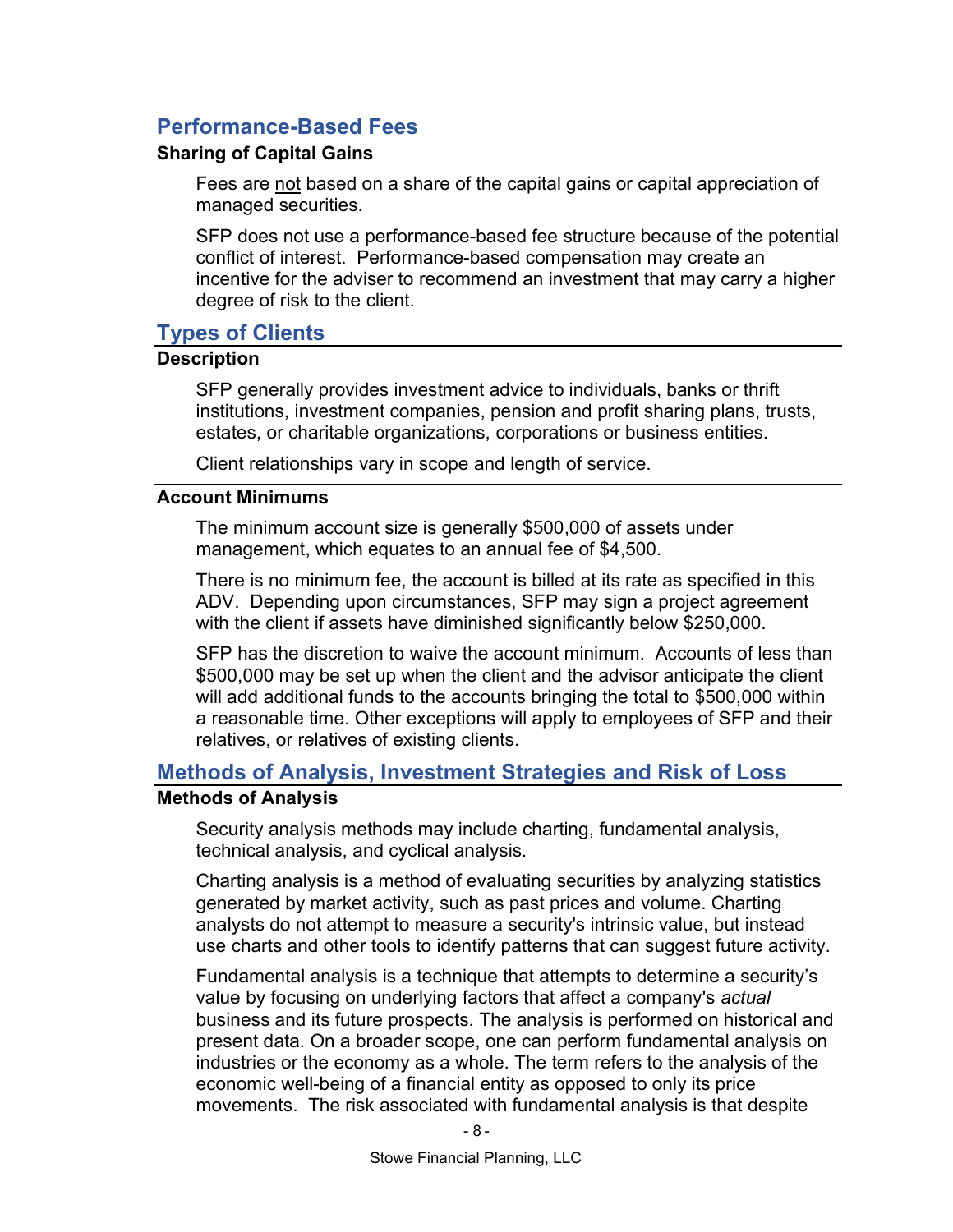# Performance-Based Fees

# Sharing of Capital Gains

Fees are not based on a share of the capital gains or capital appreciation of managed securities.

SFP does not use a performance-based fee structure because of the potential conflict of interest. Performance-based compensation may create an incentive for the adviser to recommend an investment that may carry a higher degree of risk to the client.

# Types of Clients

#### **Description**

SFP generally provides investment advice to individuals, banks or thrift institutions, investment companies, pension and profit sharing plans, trusts, estates, or charitable organizations, corporations or business entities.

Client relationships vary in scope and length of service.

#### Account Minimums

The minimum account size is generally \$500,000 of assets under management, which equates to an annual fee of \$4,500.

There is no minimum fee, the account is billed at its rate as specified in this ADV. Depending upon circumstances, SFP may sign a project agreement with the client if assets have diminished significantly below \$250,000.

SFP has the discretion to waive the account minimum. Accounts of less than \$500,000 may be set up when the client and the advisor anticipate the client will add additional funds to the accounts bringing the total to \$500,000 within a reasonable time. Other exceptions will apply to employees of SFP and their relatives, or relatives of existing clients.

# Methods of Analysis, Investment Strategies and Risk of Loss

#### Methods of Analysis

Security analysis methods may include charting, fundamental analysis, technical analysis, and cyclical analysis.

Charting analysis is a method of evaluating securities by analyzing statistics generated by market activity, such as past prices and volume. Charting analysts do not attempt to measure a security's intrinsic value, but instead use charts and other tools to identify patterns that can suggest future activity.

Fundamental analysis is a technique that attempts to determine a security's value by focusing on underlying factors that affect a company's actual business and its future prospects. The analysis is performed on historical and present data. On a broader scope, one can perform fundamental analysis on industries or the economy as a whole. The term refers to the analysis of the economic well-being of a financial entity as opposed to only its price movements. The risk associated with fundamental analysis is that despite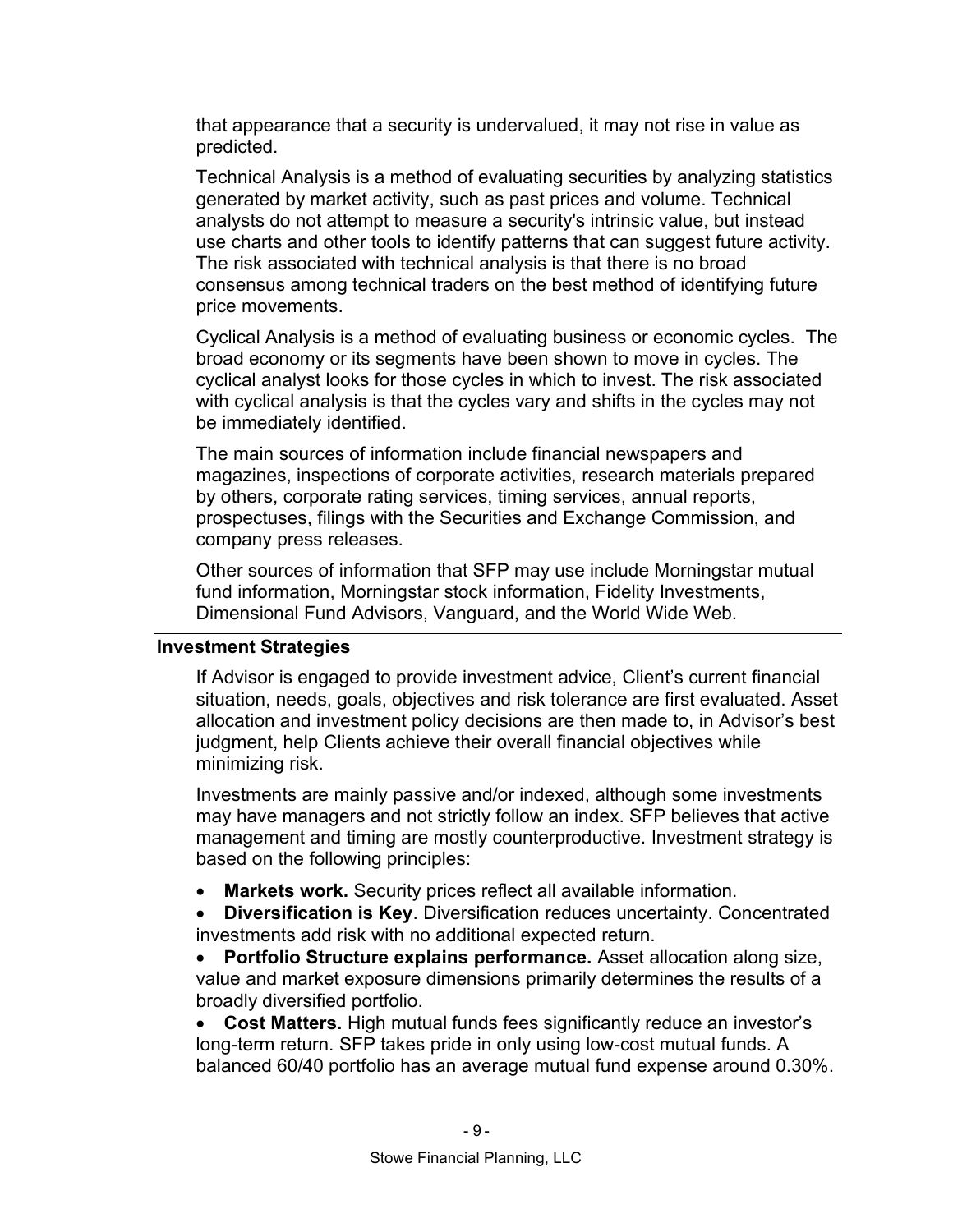that appearance that a security is undervalued, it may not rise in value as predicted.

Technical Analysis is a method of evaluating securities by analyzing statistics generated by market activity, such as past prices and volume. Technical analysts do not attempt to measure a security's intrinsic value, but instead use charts and other tools to identify patterns that can suggest future activity. The risk associated with technical analysis is that there is no broad consensus among technical traders on the best method of identifying future price movements.

Cyclical Analysis is a method of evaluating business or economic cycles. The broad economy or its segments have been shown to move in cycles. The cyclical analyst looks for those cycles in which to invest. The risk associated with cyclical analysis is that the cycles vary and shifts in the cycles may not be immediately identified.

The main sources of information include financial newspapers and magazines, inspections of corporate activities, research materials prepared by others, corporate rating services, timing services, annual reports, prospectuses, filings with the Securities and Exchange Commission, and company press releases.

Other sources of information that SFP may use include Morningstar mutual fund information, Morningstar stock information, Fidelity Investments, Dimensional Fund Advisors, Vanguard, and the World Wide Web.

#### Investment Strategies

If Advisor is engaged to provide investment advice, Client's current financial situation, needs, goals, objectives and risk tolerance are first evaluated. Asset allocation and investment policy decisions are then made to, in Advisor's best judgment, help Clients achieve their overall financial objectives while minimizing risk.

Investments are mainly passive and/or indexed, although some investments may have managers and not strictly follow an index. SFP believes that active management and timing are mostly counterproductive. Investment strategy is based on the following principles:

Markets work. Security prices reflect all available information.

• Diversification is Key. Diversification reduces uncertainty. Concentrated investments add risk with no additional expected return.

 Portfolio Structure explains performance. Asset allocation along size, value and market exposure dimensions primarily determines the results of a broadly diversified portfolio.

• Cost Matters. High mutual funds fees significantly reduce an investor's long-term return. SFP takes pride in only using low-cost mutual funds. A balanced 60/40 portfolio has an average mutual fund expense around 0.30%.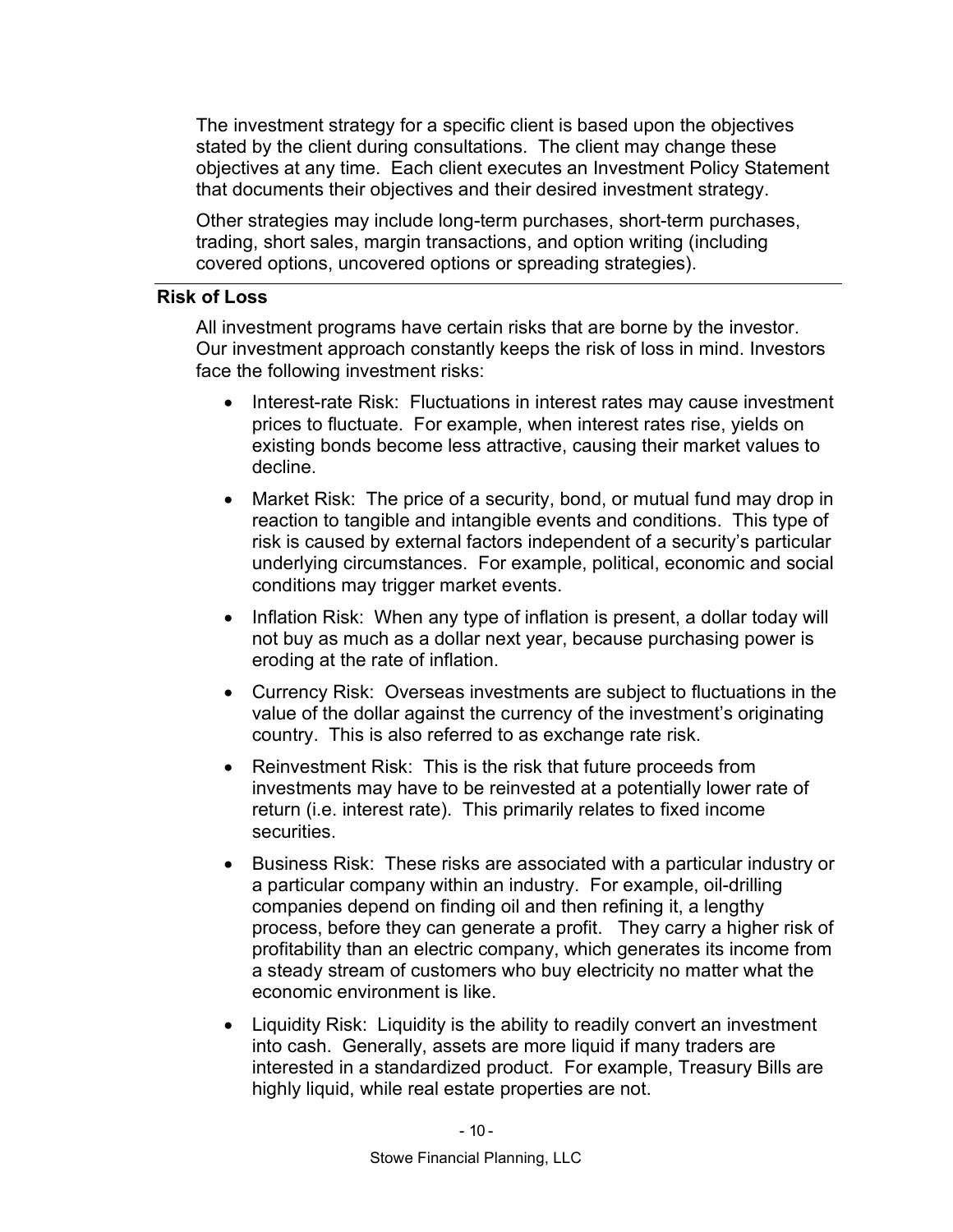The investment strategy for a specific client is based upon the objectives stated by the client during consultations. The client may change these objectives at any time. Each client executes an Investment Policy Statement that documents their objectives and their desired investment strategy.

Other strategies may include long-term purchases, short-term purchases, trading, short sales, margin transactions, and option writing (including covered options, uncovered options or spreading strategies).

#### Risk of Loss

All investment programs have certain risks that are borne by the investor. Our investment approach constantly keeps the risk of loss in mind. Investors face the following investment risks:

- Interest-rate Risk: Fluctuations in interest rates may cause investment prices to fluctuate. For example, when interest rates rise, yields on existing bonds become less attractive, causing their market values to decline.
- Market Risk: The price of a security, bond, or mutual fund may drop in reaction to tangible and intangible events and conditions. This type of risk is caused by external factors independent of a security's particular underlying circumstances. For example, political, economic and social conditions may trigger market events.
- Inflation Risk: When any type of inflation is present, a dollar today will not buy as much as a dollar next year, because purchasing power is eroding at the rate of inflation.
- Currency Risk: Overseas investments are subject to fluctuations in the value of the dollar against the currency of the investment's originating country. This is also referred to as exchange rate risk.
- Reinvestment Risk: This is the risk that future proceeds from investments may have to be reinvested at a potentially lower rate of return (i.e. interest rate). This primarily relates to fixed income securities.
- Business Risk: These risks are associated with a particular industry or a particular company within an industry. For example, oil-drilling companies depend on finding oil and then refining it, a lengthy process, before they can generate a profit. They carry a higher risk of profitability than an electric company, which generates its income from a steady stream of customers who buy electricity no matter what the economic environment is like.
- Liquidity Risk: Liquidity is the ability to readily convert an investment into cash. Generally, assets are more liquid if many traders are interested in a standardized product. For example, Treasury Bills are highly liquid, while real estate properties are not.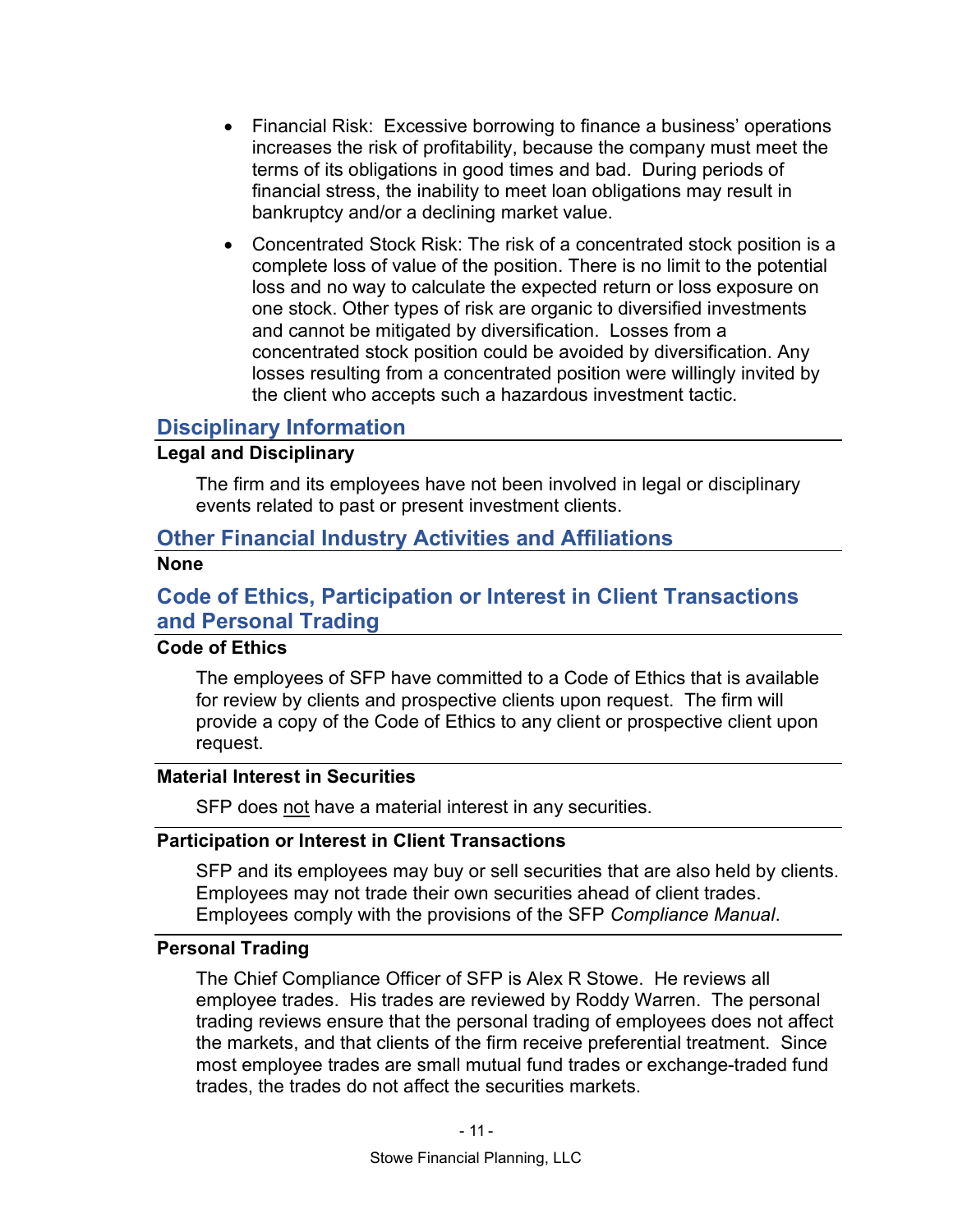- Financial Risk: Excessive borrowing to finance a business' operations increases the risk of profitability, because the company must meet the terms of its obligations in good times and bad. During periods of financial stress, the inability to meet loan obligations may result in bankruptcy and/or a declining market value.
- Concentrated Stock Risk: The risk of a concentrated stock position is a complete loss of value of the position. There is no limit to the potential loss and no way to calculate the expected return or loss exposure on one stock. Other types of risk are organic to diversified investments and cannot be mitigated by diversification. Losses from a concentrated stock position could be avoided by diversification. Any losses resulting from a concentrated position were willingly invited by the client who accepts such a hazardous investment tactic.

# Disciplinary Information

# Legal and Disciplinary

The firm and its employees have not been involved in legal or disciplinary events related to past or present investment clients.

# Other Financial Industry Activities and Affiliations

#### None

# Code of Ethics, Participation or Interest in Client Transactions and Personal Trading

# Code of Ethics

The employees of SFP have committed to a Code of Ethics that is available for review by clients and prospective clients upon request. The firm will provide a copy of the Code of Ethics to any client or prospective client upon request.

#### Material Interest in Securities

SFP does not have a material interest in any securities.

#### Participation or Interest in Client Transactions

SFP and its employees may buy or sell securities that are also held by clients. Employees may not trade their own securities ahead of client trades. Employees comply with the provisions of the SFP Compliance Manual.

#### Personal Trading

The Chief Compliance Officer of SFP is Alex R Stowe. He reviews all employee trades. His trades are reviewed by Roddy Warren. The personal trading reviews ensure that the personal trading of employees does not affect the markets, and that clients of the firm receive preferential treatment. Since most employee trades are small mutual fund trades or exchange-traded fund trades, the trades do not affect the securities markets.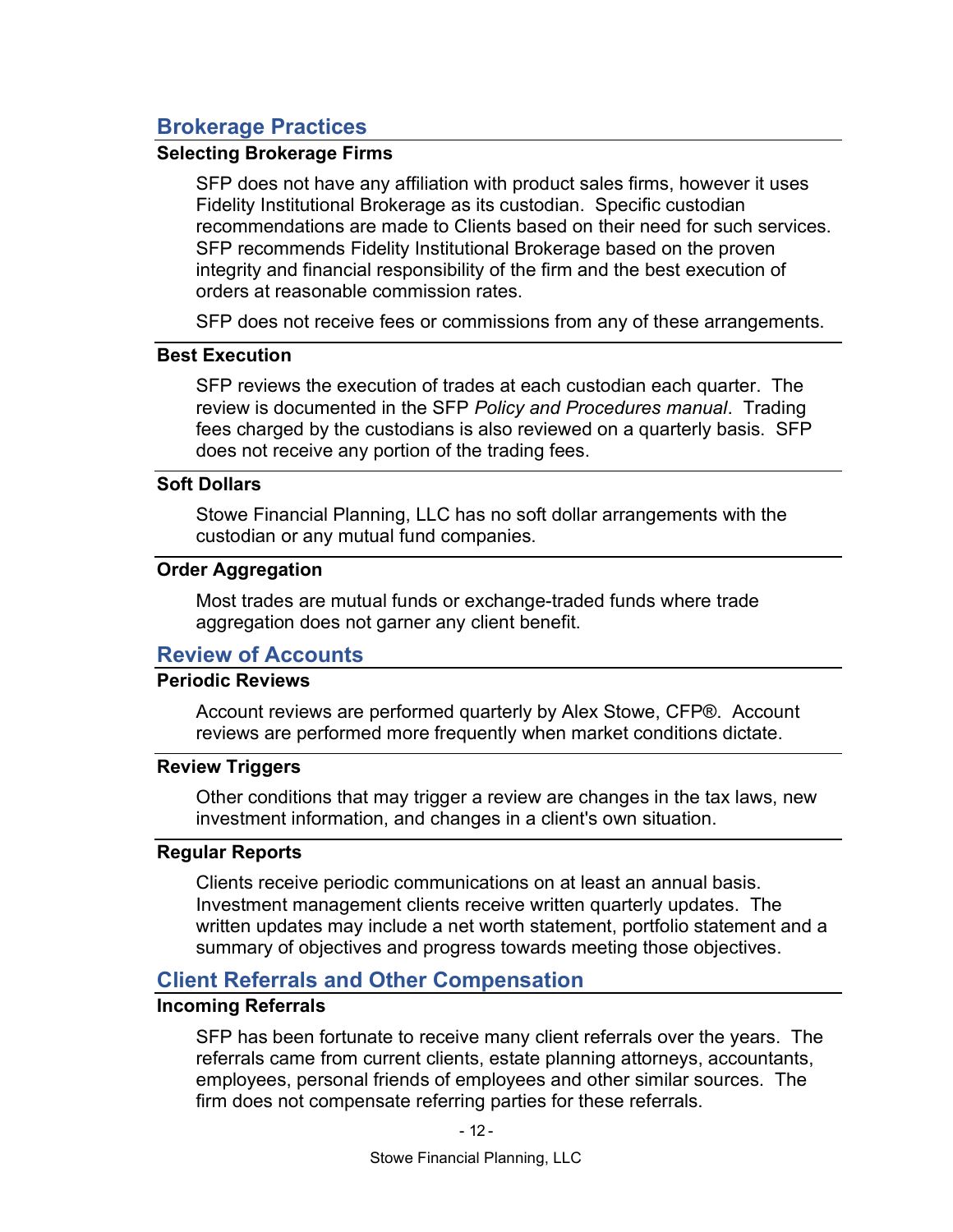# Brokerage Practices

#### Selecting Brokerage Firms

SFP does not have any affiliation with product sales firms, however it uses Fidelity Institutional Brokerage as its custodian. Specific custodian recommendations are made to Clients based on their need for such services. SFP recommends Fidelity Institutional Brokerage based on the proven integrity and financial responsibility of the firm and the best execution of orders at reasonable commission rates.

SFP does not receive fees or commissions from any of these arrangements.

#### Best Execution

SFP reviews the execution of trades at each custodian each quarter. The review is documented in the SFP Policy and Procedures manual. Trading fees charged by the custodians is also reviewed on a quarterly basis. SFP does not receive any portion of the trading fees.

#### Soft Dollars

Stowe Financial Planning, LLC has no soft dollar arrangements with the custodian or any mutual fund companies.

#### Order Aggregation

Most trades are mutual funds or exchange-traded funds where trade aggregation does not garner any client benefit.

# Review of Accounts

# Periodic Reviews

Account reviews are performed quarterly by Alex Stowe, CFP®. Account reviews are performed more frequently when market conditions dictate.

#### Review Triggers

Other conditions that may trigger a review are changes in the tax laws, new investment information, and changes in a client's own situation.

#### Regular Reports

Clients receive periodic communications on at least an annual basis. Investment management clients receive written quarterly updates. The written updates may include a net worth statement, portfolio statement and a summary of objectives and progress towards meeting those objectives.

# Client Referrals and Other Compensation

# Incoming Referrals

SFP has been fortunate to receive many client referrals over the years. The referrals came from current clients, estate planning attorneys, accountants, employees, personal friends of employees and other similar sources. The firm does not compensate referring parties for these referrals.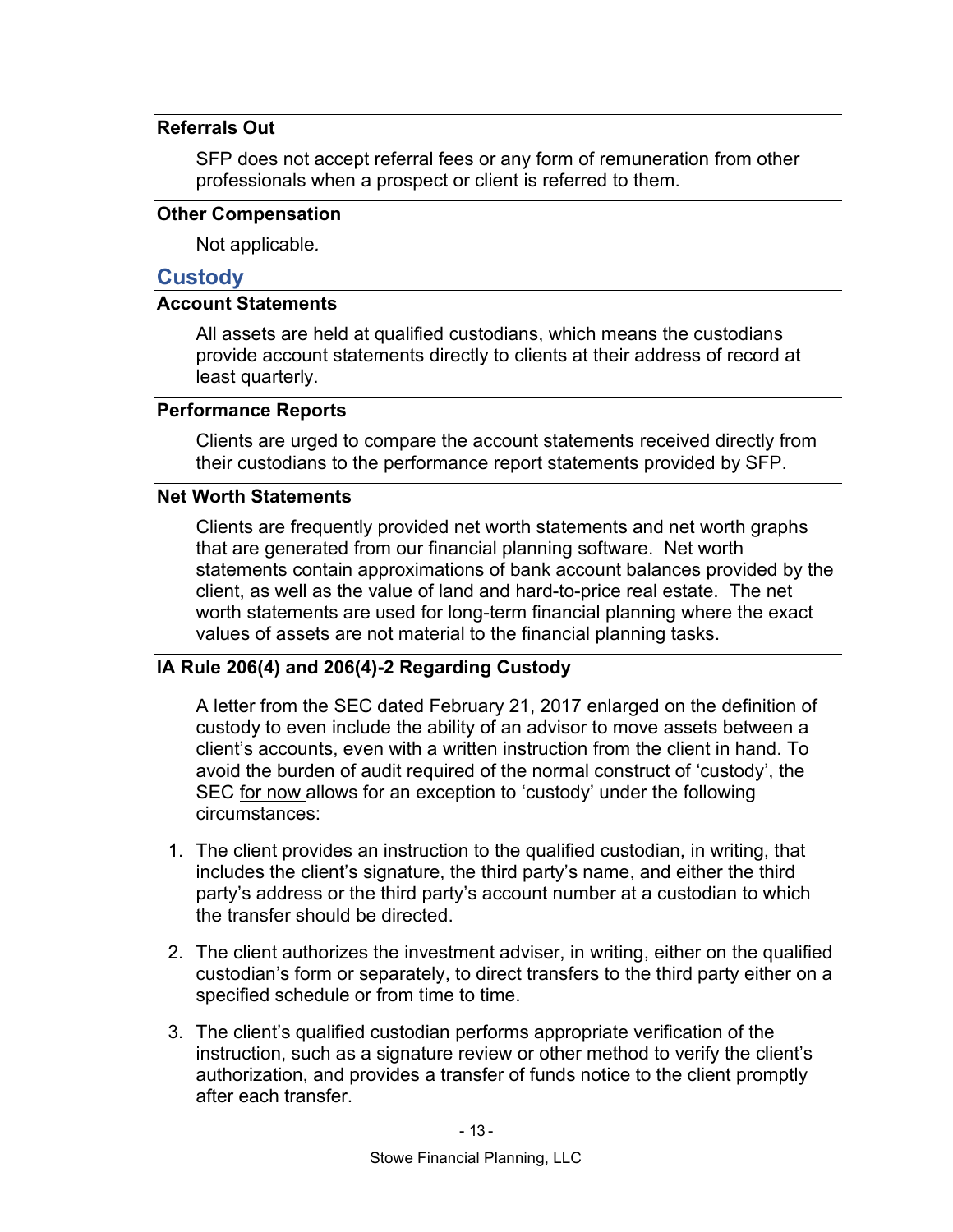#### Referrals Out

SFP does not accept referral fees or any form of remuneration from other professionals when a prospect or client is referred to them.

#### Other Compensation

Not applicable.

## **Custody**

# Account Statements

All assets are held at qualified custodians, which means the custodians provide account statements directly to clients at their address of record at least quarterly.

#### Performance Reports

Clients are urged to compare the account statements received directly from their custodians to the performance report statements provided by SFP.

# Net Worth Statements

Clients are frequently provided net worth statements and net worth graphs that are generated from our financial planning software. Net worth statements contain approximations of bank account balances provided by the client, as well as the value of land and hard-to-price real estate. The net worth statements are used for long-term financial planning where the exact values of assets are not material to the financial planning tasks.

# IA Rule 206(4) and 206(4)-2 Regarding Custody

A letter from the SEC dated February 21, 2017 enlarged on the definition of custody to even include the ability of an advisor to move assets between a client's accounts, even with a written instruction from the client in hand. To avoid the burden of audit required of the normal construct of 'custody', the SEC for now allows for an exception to 'custody' under the following circumstances:

- 1. The client provides an instruction to the qualified custodian, in writing, that includes the client's signature, the third party's name, and either the third party's address or the third party's account number at a custodian to which the transfer should be directed.
- 2. The client authorizes the investment adviser, in writing, either on the qualified custodian's form or separately, to direct transfers to the third party either on a specified schedule or from time to time.
- 3. The client's qualified custodian performs appropriate verification of the instruction, such as a signature review or other method to verify the client's authorization, and provides a transfer of funds notice to the client promptly after each transfer.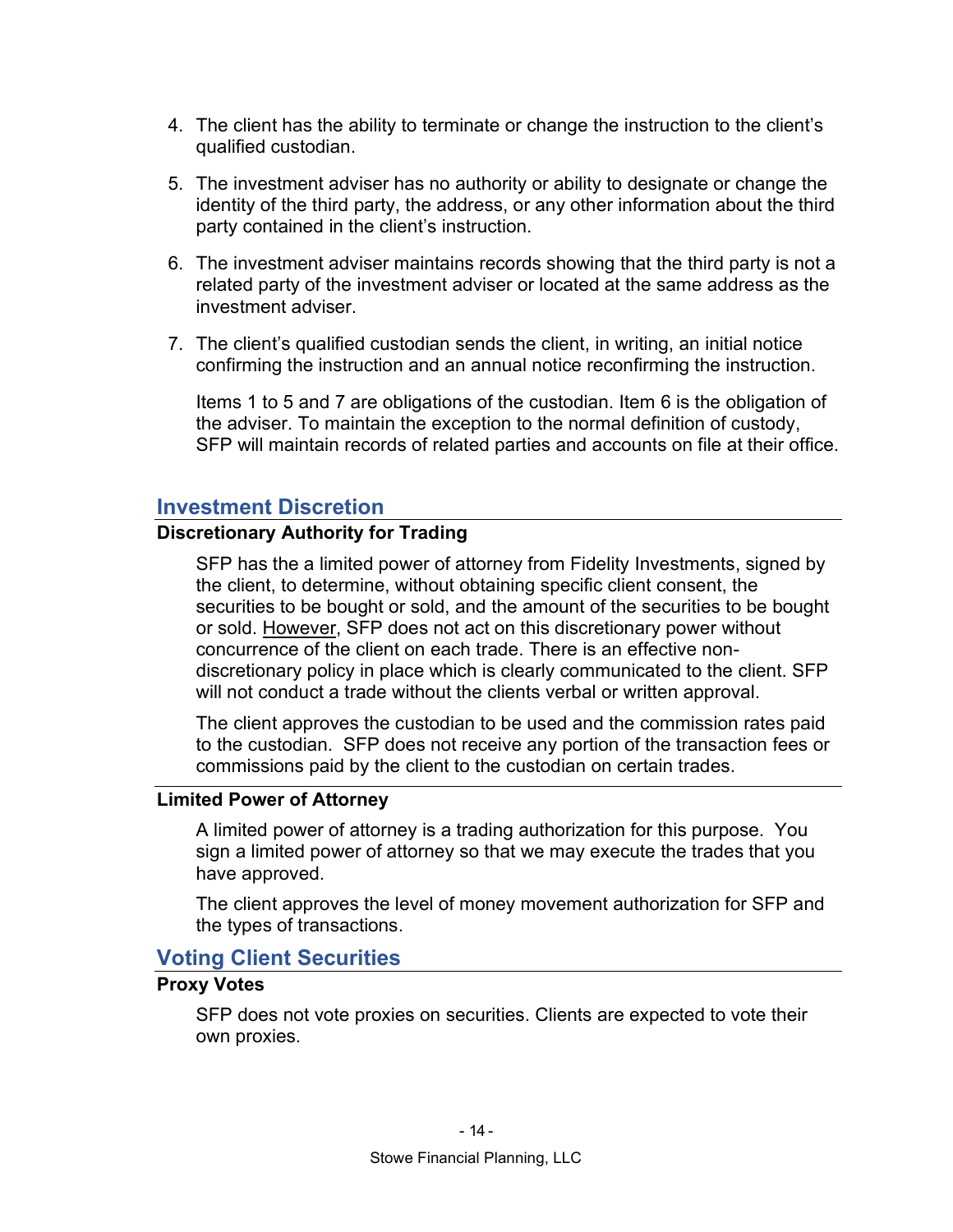- 4. The client has the ability to terminate or change the instruction to the client's qualified custodian.
- 5. The investment adviser has no authority or ability to designate or change the identity of the third party, the address, or any other information about the third party contained in the client's instruction.
- 6. The investment adviser maintains records showing that the third party is not a related party of the investment adviser or located at the same address as the investment adviser.
- 7. The client's qualified custodian sends the client, in writing, an initial notice confirming the instruction and an annual notice reconfirming the instruction.

Items 1 to 5 and 7 are obligations of the custodian. Item 6 is the obligation of the adviser. To maintain the exception to the normal definition of custody, SFP will maintain records of related parties and accounts on file at their office.

# Investment Discretion

# Discretionary Authority for Trading

SFP has the a limited power of attorney from Fidelity Investments, signed by the client, to determine, without obtaining specific client consent, the securities to be bought or sold, and the amount of the securities to be bought or sold. However, SFP does not act on this discretionary power without concurrence of the client on each trade. There is an effective nondiscretionary policy in place which is clearly communicated to the client. SFP will not conduct a trade without the clients verbal or written approval.

The client approves the custodian to be used and the commission rates paid to the custodian. SFP does not receive any portion of the transaction fees or commissions paid by the client to the custodian on certain trades.

#### Limited Power of Attorney

A limited power of attorney is a trading authorization for this purpose. You sign a limited power of attorney so that we may execute the trades that you have approved.

The client approves the level of money movement authorization for SFP and the types of transactions.

# Voting Client Securities

#### Proxy Votes

SFP does not vote proxies on securities. Clients are expected to vote their own proxies.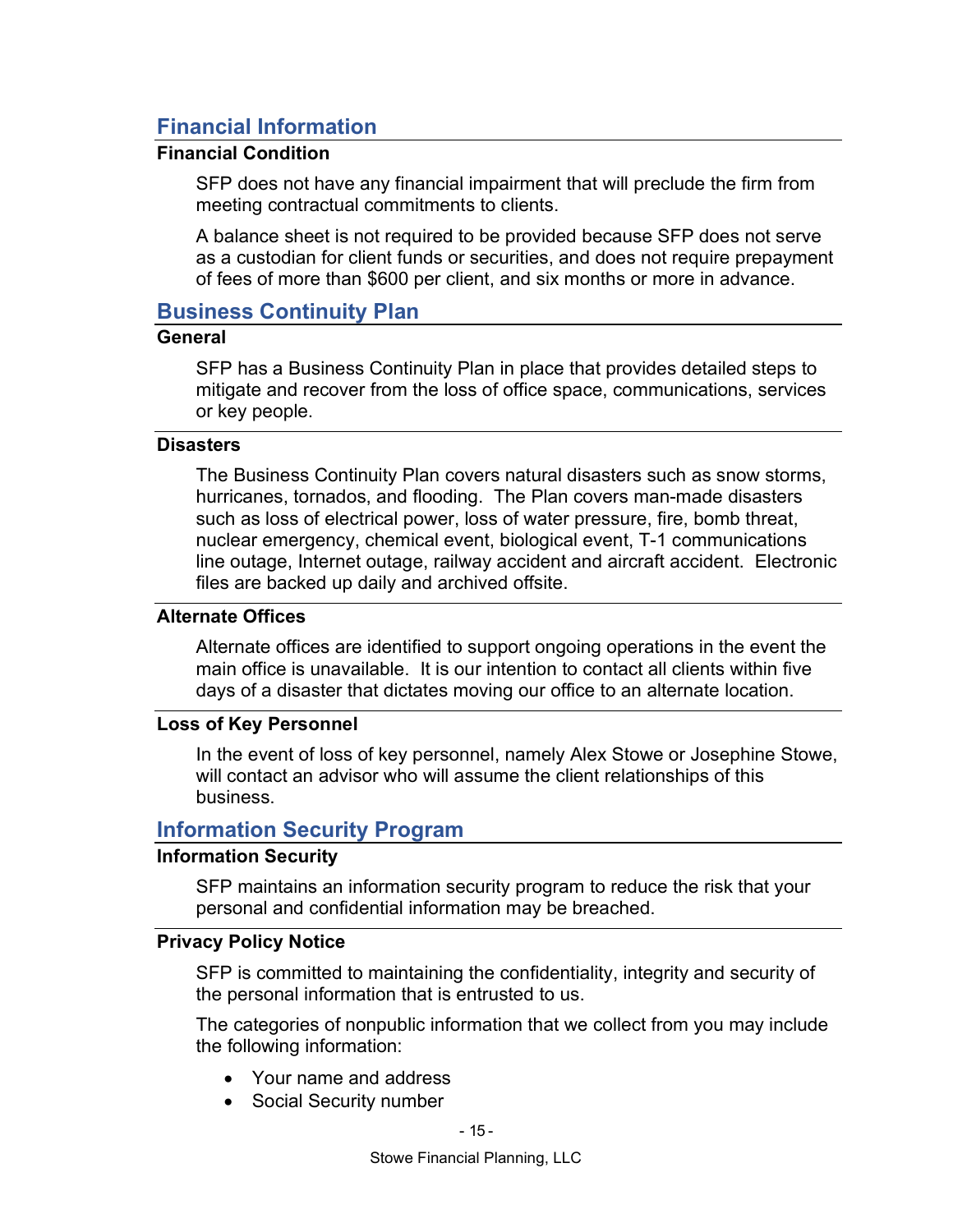# Financial Information

# Financial Condition

SFP does not have any financial impairment that will preclude the firm from meeting contractual commitments to clients.

A balance sheet is not required to be provided because SFP does not serve as a custodian for client funds or securities, and does not require prepayment of fees of more than \$600 per client, and six months or more in advance.

# Business Continuity Plan

## General

SFP has a Business Continuity Plan in place that provides detailed steps to mitigate and recover from the loss of office space, communications, services or key people.

#### **Disasters**

The Business Continuity Plan covers natural disasters such as snow storms, hurricanes, tornados, and flooding. The Plan covers man-made disasters such as loss of electrical power, loss of water pressure, fire, bomb threat, nuclear emergency, chemical event, biological event, T-1 communications line outage, Internet outage, railway accident and aircraft accident. Electronic files are backed up daily and archived offsite.

#### Alternate Offices

Alternate offices are identified to support ongoing operations in the event the main office is unavailable. It is our intention to contact all clients within five days of a disaster that dictates moving our office to an alternate location.

#### Loss of Key Personnel

In the event of loss of key personnel, namely Alex Stowe or Josephine Stowe, will contact an advisor who will assume the client relationships of this business.

# Information Security Program

#### Information Security

SFP maintains an information security program to reduce the risk that your personal and confidential information may be breached.

#### Privacy Policy Notice

SFP is committed to maintaining the confidentiality, integrity and security of the personal information that is entrusted to us.

The categories of nonpublic information that we collect from you may include the following information:

- Your name and address
- Social Security number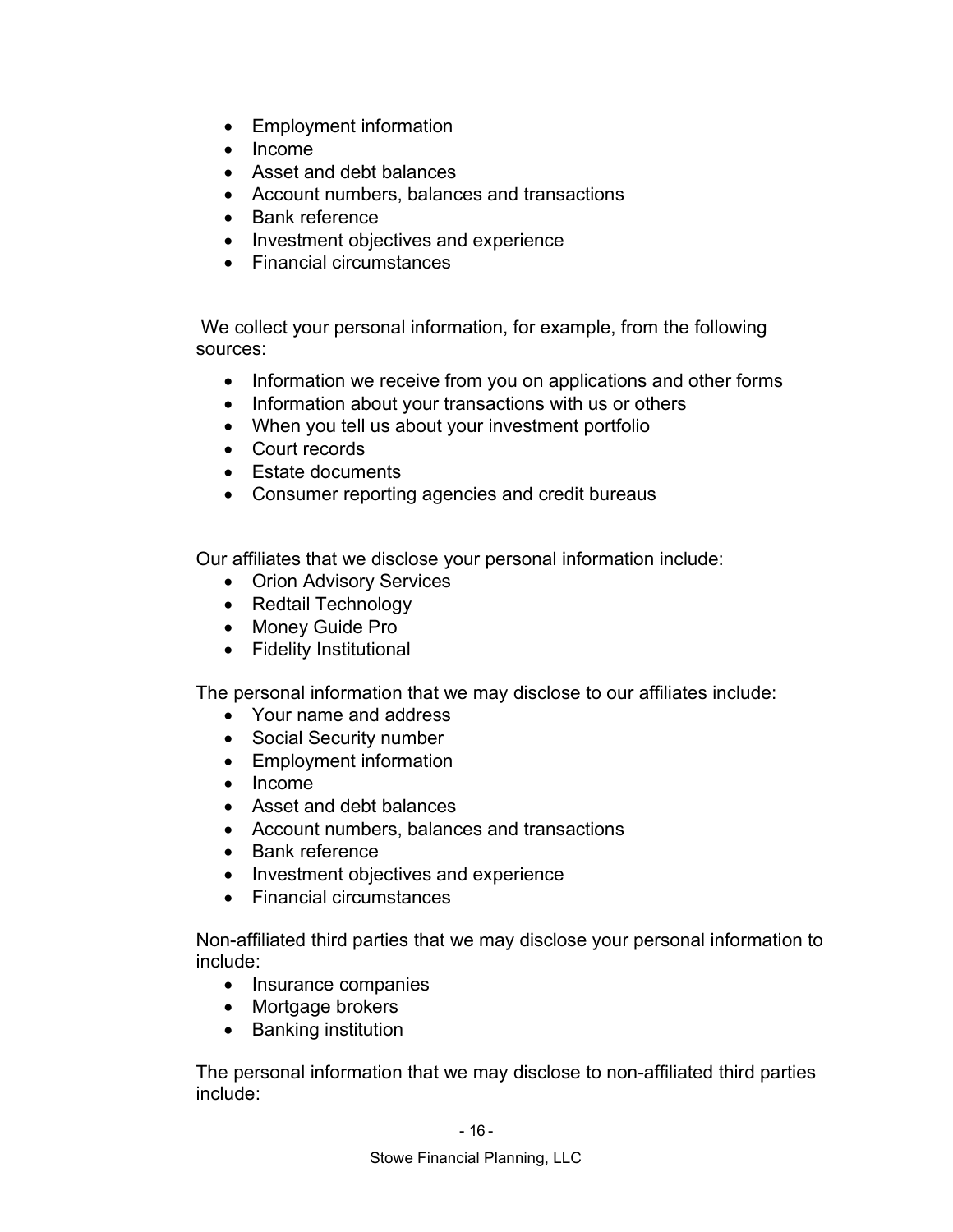- Employment information
- $\bullet$  Income
- Asset and debt balances
- Account numbers, balances and transactions
- Bank reference
- Investment objectives and experience
- Financial circumstances

 We collect your personal information, for example, from the following sources:

- Information we receive from you on applications and other forms
- Information about your transactions with us or others
- When you tell us about your investment portfolio
- Court records
- Estate documents
- Consumer reporting agencies and credit bureaus

Our affiliates that we disclose your personal information include:

- Orion Advisory Services
- Redtail Technology
- Money Guide Pro
- Fidelity Institutional

The personal information that we may disclose to our affiliates include:

- Your name and address
- Social Security number
- Employment information
- Income
- Asset and debt balances
- Account numbers, balances and transactions
- Bank reference
- Investment objectives and experience
- Financial circumstances

Non-affiliated third parties that we may disclose your personal information to include:

- Insurance companies
- Mortgage brokers
- Banking institution

The personal information that we may disclose to non-affiliated third parties include: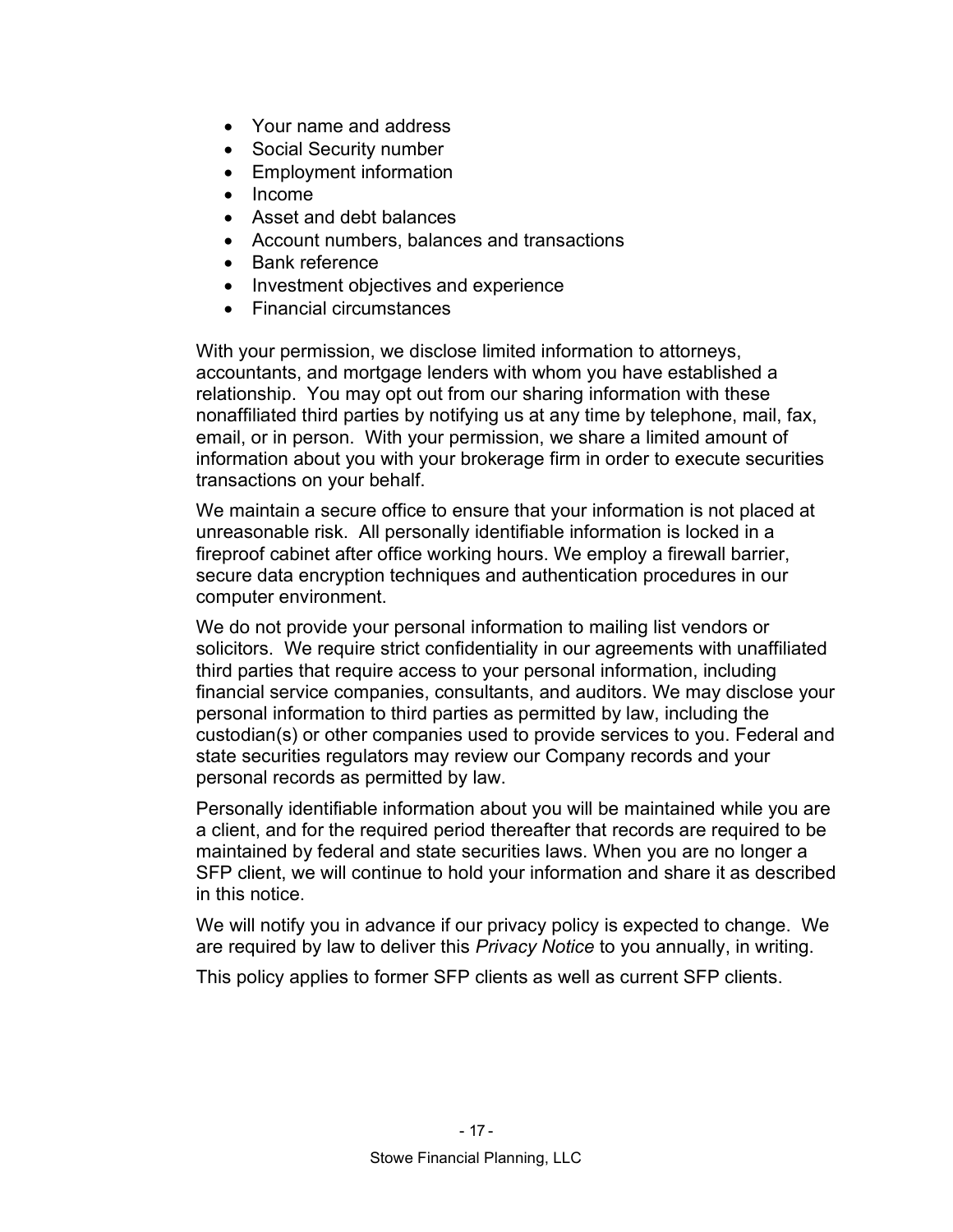- Your name and address
- Social Security number
- Employment information
- Income
- Asset and debt balances
- Account numbers, balances and transactions
- Bank reference
- Investment objectives and experience
- Financial circumstances

With your permission, we disclose limited information to attorneys, accountants, and mortgage lenders with whom you have established a relationship. You may opt out from our sharing information with these nonaffiliated third parties by notifying us at any time by telephone, mail, fax, email, or in person. With your permission, we share a limited amount of information about you with your brokerage firm in order to execute securities transactions on your behalf.

We maintain a secure office to ensure that your information is not placed at unreasonable risk. All personally identifiable information is locked in a fireproof cabinet after office working hours. We employ a firewall barrier, secure data encryption techniques and authentication procedures in our computer environment.

We do not provide your personal information to mailing list vendors or solicitors. We require strict confidentiality in our agreements with unaffiliated third parties that require access to your personal information, including financial service companies, consultants, and auditors. We may disclose your personal information to third parties as permitted by law, including the custodian(s) or other companies used to provide services to you. Federal and state securities regulators may review our Company records and your personal records as permitted by law.

Personally identifiable information about you will be maintained while you are a client, and for the required period thereafter that records are required to be maintained by federal and state securities laws. When you are no longer a SFP client, we will continue to hold your information and share it as described in this notice.

We will notify you in advance if our privacy policy is expected to change. We are required by law to deliver this Privacy Notice to you annually, in writing.

This policy applies to former SFP clients as well as current SFP clients.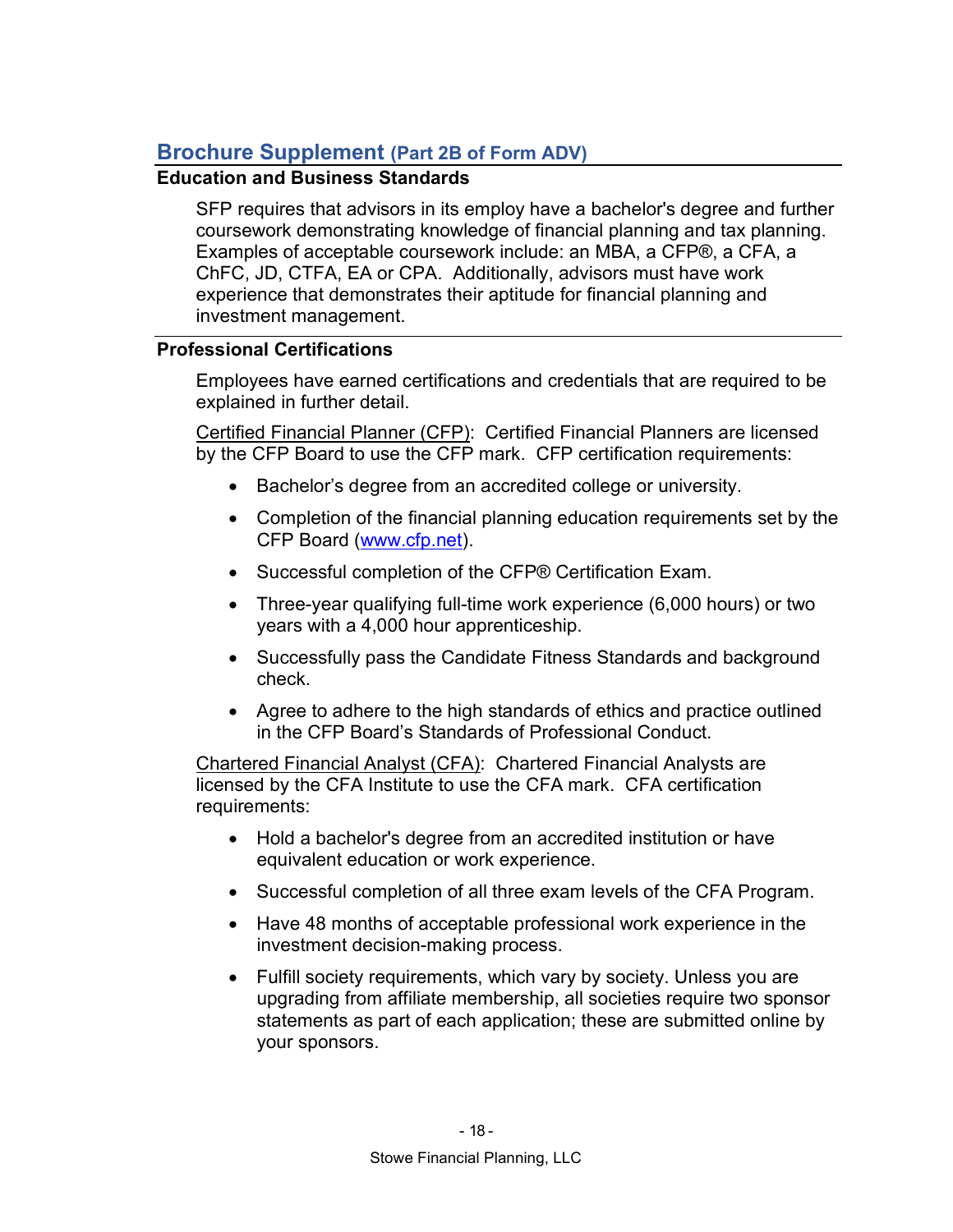# Brochure Supplement (Part 2B of Form ADV)

# Education and Business Standards

SFP requires that advisors in its employ have a bachelor's degree and further coursework demonstrating knowledge of financial planning and tax planning. Examples of acceptable coursework include: an MBA, a CFP®, a CFA, a ChFC, JD, CTFA, EA or CPA. Additionally, advisors must have work experience that demonstrates their aptitude for financial planning and investment management.

# Professional Certifications

Employees have earned certifications and credentials that are required to be explained in further detail.

Certified Financial Planner (CFP): Certified Financial Planners are licensed by the CFP Board to use the CFP mark. CFP certification requirements:

- Bachelor's degree from an accredited college or university.
- Completion of the financial planning education requirements set by the CFP Board (www.cfp.net).
- Successful completion of the CFP® Certification Exam.
- Three-year qualifying full-time work experience (6,000 hours) or two years with a 4,000 hour apprenticeship.
- Successfully pass the Candidate Fitness Standards and background check.
- Agree to adhere to the high standards of ethics and practice outlined in the CFP Board's Standards of Professional Conduct.

Chartered Financial Analyst (CFA): Chartered Financial Analysts are licensed by the CFA Institute to use the CFA mark. CFA certification requirements:

- Hold a bachelor's degree from an accredited institution or have equivalent education or work experience.
- Successful completion of all three exam levels of the CFA Program.
- Have 48 months of acceptable professional work experience in the investment decision-making process.
- Fulfill society requirements, which vary by society. Unless you are upgrading from affiliate membership, all societies require two sponsor statements as part of each application; these are submitted online by your sponsors.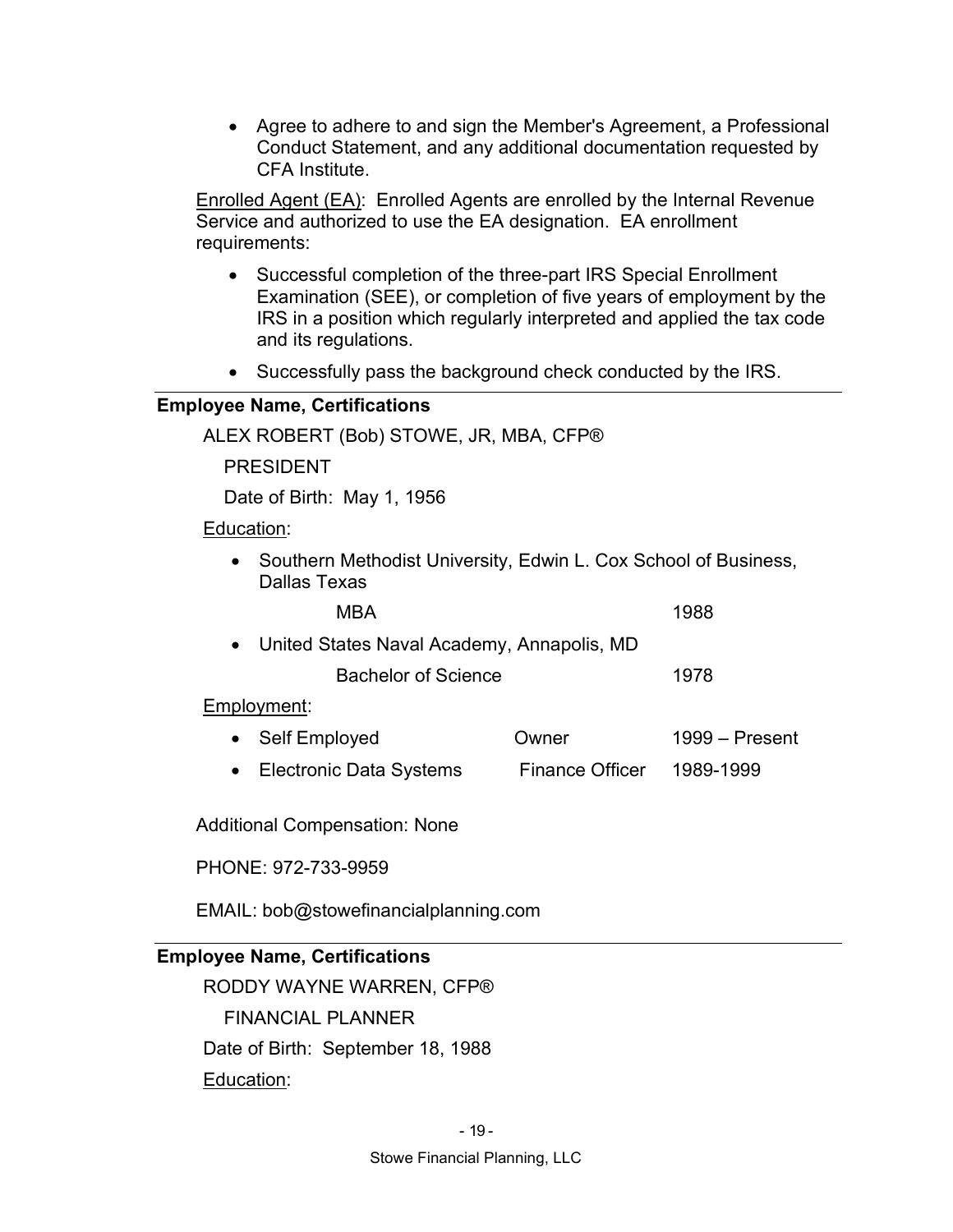Agree to adhere to and sign the Member's Agreement, a Professional Conduct Statement, and any additional documentation requested by CFA Institute.

**Enrolled Agent (EA):** Enrolled Agents are enrolled by the Internal Revenue Service and authorized to use the EA designation. EA enrollment requirements:

- Successful completion of the three-part IRS Special Enrollment Examination (SEE), or completion of five years of employment by the IRS in a position which regularly interpreted and applied the tax code and its regulations.
- Successfully pass the background check conducted by the IRS.

#### Employee Name, Certifications

ALEX ROBERT (Bob) STOWE, JR, MBA, CFP®

PRESIDENT

Date of Birth: May 1, 1956

Education:

• Southern Methodist University, Edwin L. Cox School of Business, Dallas Texas

| MBA                                          | 1988 |
|----------------------------------------------|------|
| • United States Naval Academy, Annapolis, MD |      |
| Bachelor of Science                          | 1978 |

#### Employment:

- Self Employed **Owner** 1999 Present
- Electronic Data Systems Finance Officer 1989-1999

Additional Compensation: None

#### PHONE: 972-733-9959

EMAIL: bob@stowefinancialplanning.com

# Employee Name, Certifications

RODDY WAYNE WARREN, CFP® FINANCIAL PLANNER Date of Birth: September 18, 1988 Education: